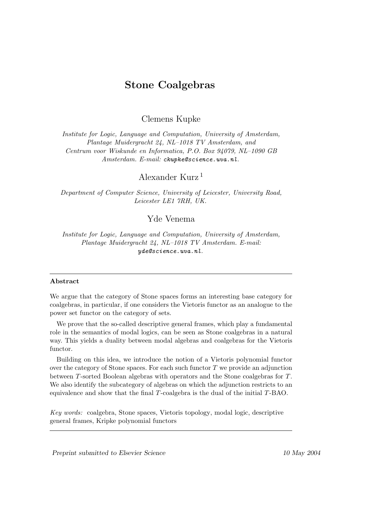# Stone Coalgebras

Clemens Kupke

Institute for Logic, Language and Computation, University of Amsterdam, Plantage Muidergracht 24, NL–1018 TV Amsterdam, and Centrum voor Wiskunde en Informatica, P.O. Box 94079, NL–1090 GB Amsterdam. E-mail: ckupke@science.uva.nl.

Alexander Kurz <sup>1</sup>

Department of Computer Science, University of Leicester, University Road, Leicester LE1 7RH, UK.

## Yde Venema

Institute for Logic, Language and Computation, University of Amsterdam, Plantage Muidergracht 24, NL–1018 TV Amsterdam. E-mail: yde@science.uva.nl.

#### Abstract

We argue that the category of Stone spaces forms an interesting base category for coalgebras, in particular, if one considers the Vietoris functor as an analogue to the power set functor on the category of sets.

We prove that the so-called descriptive general frames, which play a fundamental role in the semantics of modal logics, can be seen as Stone coalgebras in a natural way. This yields a duality between modal algebras and coalgebras for the Vietoris functor.

Building on this idea, we introduce the notion of a Vietoris polynomial functor over the category of Stone spaces. For each such functor  $T$  we provide an adjunction between T-sorted Boolean algebras with operators and the Stone coalgebras for T. We also identify the subcategory of algebras on which the adjunction restricts to an equivalence and show that the final  $T$ -coalgebra is the dual of the initial  $T$ -BAO.

Key words: coalgebra, Stone spaces, Vietoris topology, modal logic, descriptive general frames, Kripke polynomial functors

Preprint submitted to Elsevier Science 10 May 2004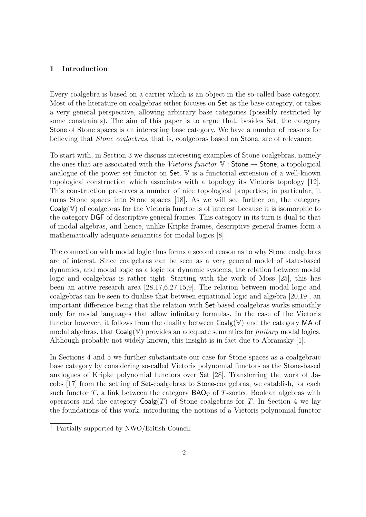### 1 Introduction

Every coalgebra is based on a carrier which is an object in the so-called base category. Most of the literature on coalgebras either focuses on Set as the base category, or takes a very general perspective, allowing arbitrary base categories (possibly restricted by some constraints). The aim of this paper is to argue that, besides Set, the category Stone of Stone spaces is an interesting base category. We have a number of reasons for believing that *Stone coalgebras*, that is, coalgebras based on **Stone**, are of relevance.

To start with, in Section 3 we discuss interesting examples of Stone coalgebras, namely the ones that are associated with the Vietoris functor  $V :$  Stone  $\rightarrow$  Stone, a topological analogue of the power set functor on Set. V is a functorial extension of a well-known topological construction which associates with a topology its Vietoris topology [12]. This construction preserves a number of nice topological properties; in particular, it turns Stone spaces into Stone spaces [18]. As we will see further on, the category  $Coalg(\mathbb{V})$  of coalgebras for the Vietoris functor is of interest because it is isomorphic to the category DGF of descriptive general frames. This category in its turn is dual to that of modal algebras, and hence, unlike Kripke frames, descriptive general frames form a mathematically adequate semantics for modal logics [8].

The connection with modal logic thus forms a second reason as to why Stone coalgebras are of interest. Since coalgebras can be seen as a very general model of state-based dynamics, and modal logic as a logic for dynamic systems, the relation between modal logic and coalgebras is rather tight. Starting with the work of Moss [25], this has been an active research area [28,17,6,27,15,9]. The relation between modal logic and coalgebras can be seen to dualise that between equational logic and algebra [20,19], an important difference being that the relation with Set-based coalgebras works smoothly only for modal languages that allow infinitary formulas. In the case of the Vietoris functor however, it follows from the duality between  $Coalg(V)$  and the category MA of modal algebras, that  $Coalg(\mathbb{V})$  provides an adequate semantics for *finitary* modal logics. Although probably not widely known, this insight is in fact due to Abramsky [1].

In Sections 4 and 5 we further substantiate our case for Stone spaces as a coalgebraic base category by considering so-called Vietoris polynomial functors as the Stone-based analogues of Kripke polynomial functors over Set [28]. Transferring the work of Jacobs [17] from the setting of Set-coalgebras to Stone-coalgebras, we establish, for each such functor T, a link between the category  $\mathsf{BAO}_T$  of T-sorted Boolean algebras with operators and the category  $Coalg(T)$  of Stone coalgebras for T. In Section 4 we lay the foundations of this work, introducing the notions of a Vietoris polynomial functor

 $\frac{1}{1}$  Partially supported by NWO/British Council.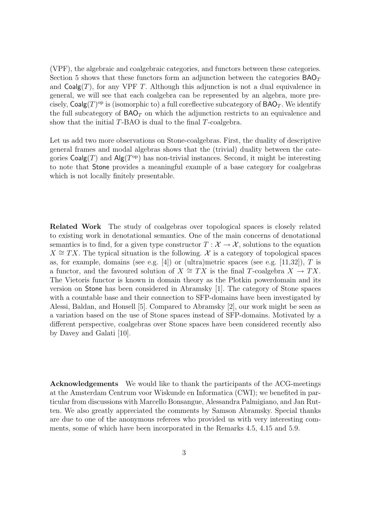(VPF), the algebraic and coalgebraic categories, and functors between these categories. Section 5 shows that these functors form an adjunction between the categories  $BAO<sub>T</sub>$ and  $Coalg(T)$ , for any VPF T. Although this adjunction is not a dual equivalence in general, we will see that each coalgebra can be represented by an algebra, more precisely,  $\mathsf{Coalg}(T)^\text{op}$  is (isomorphic to) a full coreflective subcategory of  $\mathsf{BAO}_T$ . We identify the full subcategory of  $BAO<sub>T</sub>$  on which the adjunction restricts to an equivalence and show that the initial T-BAO is dual to the final T-coalgebra.

Let us add two more observations on Stone-coalgebras. First, the duality of descriptive general frames and modal algebras shows that the (trivial) duality between the categories  $\mathsf{Coalg}(T)$  and  $\mathsf{Alg}(T^{\mathrm{op}})$  has non-trivial instances. Second, it might be interesting to note that Stone provides a meaningful example of a base category for coalgebras which is not locally finitely presentable.

Related Work The study of coalgebras over topological spaces is closely related to existing work in denotational semantics. One of the main concerns of denotational semantics is to find, for a given type constructor  $T : \mathcal{X} \to \mathcal{X}$ , solutions to the equation  $X \cong TX$ . The typical situation is the following. X is a category of topological spaces as, for example, domains (see e.g. [4]) or (ultra)metric spaces (see e.g. [11,32]), T is a functor, and the favoured solution of  $X \cong TX$  is the final T-coalgebra  $X \to TX$ . The Vietoris functor is known in domain theory as the Plotkin powerdomain and its version on Stone has been considered in Abramsky [1]. The category of Stone spaces with a countable base and their connection to SFP-domains have been investigated by Alessi, Baldan, and Honsell [5]. Compared to Abramsky [2], our work might be seen as a variation based on the use of Stone spaces instead of SFP-domains. Motivated by a different perspective, coalgebras over Stone spaces have been considered recently also by Davey and Galati [10].

Acknowledgements We would like to thank the participants of the ACG-meetings at the Amsterdam Centrum voor Wiskunde en Informatica (CWI); we benefited in particular from discussions with Marcello Bonsangue, Alessandra Palmigiano, and Jan Rutten. We also greatly appreciated the comments by Samson Abramsky. Special thanks are due to one of the anonymous referees who provided us with very interesting comments, some of which have been incorporated in the Remarks 4.5, 4.15 and 5.9.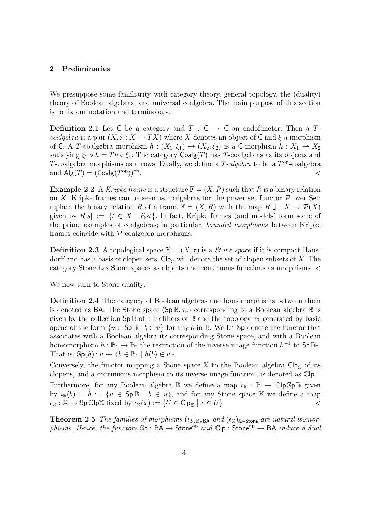#### 2 Preliminaries

We presuppose some familiarity with category theory, general topology, the (duality) theory of Boolean algebras, and universal coalgebra. The main purpose of this section is to fix our notation and terminology.

**Definition 2.1** Let C be a category and  $T : C \rightarrow C$  an endofunctor. Then a Tcoalgebra is a pair  $(X, \xi : X \to TX)$  where X denotes an object of C and  $\xi$  a morphism of C. A T-coalgebra morphism  $h : (X_1, \xi_1) \to (X_2, \xi_2)$  is a C-morphism  $h : X_1 \to X_2$ satisfying  $\xi_2 \circ h = Th \circ \xi_1$ . The category Coalg(T) has T-coalgebras as its objects and T-coalgebra morphisms as arrows. Dually, we define a  $T$ -algebra to be a  $T<sup>op</sup>$ -coalgebra and  $\mathsf{Alg}(T) = (\mathsf{Coalg}(T^{\mathrm{op}}))^{\mathrm{op}}$ .  $\triangle$ 

**Example 2.2** A Kripke frame is a structure  $\mathbb{F} = (X, R)$  such that R is a binary relation on X. Kripke frames can be seen as coalgebras for the power set functor  $P$  over Set: replace the binary relation R of a frame  $\mathbb{F} = (X, R)$  with the map  $R[\ ] : X \to \mathcal{P}(X)$ given by  $R[s] := \{t \in X \mid Rst\}$ . In fact, Kripke frames (and models) form some of the prime examples of coalgebras; in particular, bounded morphisms between Kripke frames coincide with P-coalgebra morphisms.

**Definition 2.3** A topological space  $X = (X, \tau)$  is a *Stone space* if it is compact Hausdorff and has a basis of clopen sets.  $\mathsf{Cip}_X$  will denote the set of clopen subsets of X. The category Stone has Stone spaces as objects and continuous functions as morphisms.  $\triangleleft$ 

We now turn to Stone duality.

Definition 2.4 The category of Boolean algebras and homomorphisms between them is denoted as **BA**. The Stone space  $(\text{Sp}\,\mathbb{B},\tau_{\mathbb{B}})$  corresponding to a Boolean algebra  $\mathbb{B}$  is given by the collection  $\mathsf{Sp}\,\mathbb{B}$  of ultrafilters of  $\mathbb B$  and the topology  $\tau_{\mathbb{B}}$  generated by basic opens of the form  $\{u \in \mathsf{Sp}\,\mathbb{B} \mid b \in u\}$  for any b in  $\mathbb{B}$ . We let  $\mathbb{S}p$  denote the functor that associates with a Boolean algebra its corresponding Stone space, and with a Boolean homomorphism  $h : \mathbb{B}_1 \to \mathbb{B}_2$  the restriction of the inverse image function  $h^{-1}$  to  $\mathsf{Sp} \, \mathbb{B}_2$ . That is,  $\mathbb{S}_{p}(h): u \mapsto \{b \in \mathbb{B}_{1} \mid h(b) \in u\}.$ 

Conversely, the functor mapping a Stone space  $X$  to the Boolean algebra  $C1p_X$  of its clopens, and a continuous morphism to its inverse image function, is denoted as Clp.

Furthermore, for any Boolean algebra  $\mathbb B$  we define a map  $i_{\mathbb B}: \mathbb B \to \mathbb C$ lp  $\mathbb S$ p  $\mathbb B$  given by  $i_{\mathbb{B}}(b) = \hat{b} := \{u \in \mathsf{Sp}\,\mathbb{B} \mid b \in u\}$ , and for any Stone space X we define a map  $\epsilon_{\mathbb{X}} : \mathbb{X} \to \mathbb{S}$ p Clp $\mathbb{X}$  fixed by  $\epsilon_{\mathbb{X}}(x) := \{U \in \mathsf{Clp}_{\mathbb{X}} \mid x \in U\}.$ 

Theorem 2.5 The families of morphisms  $(i_{\mathbb{B}})_{\mathbb{B}\in\mathsf{BA}}$  and  $(\epsilon_{\mathbb{X}})_{\mathbb{X}\in\mathsf{Stone}}$  are natural isomorphisms. Hence, the functors  $\mathbb{S}_p : BA \to Stone^{op}$  and  $\mathbb{C}|p : Stone^{op} \to BA$  induce a dual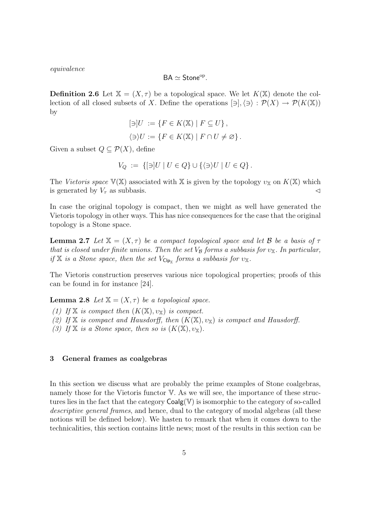equivalence

$$
\mathsf{BA} \simeq \mathsf{Stone}^\mathrm{op}.
$$

**Definition 2.6** Let  $\mathbb{X} = (X, \tau)$  be a topological space. We let  $K(\mathbb{X})$  denote the collection of all closed subsets of X. Define the operations  $[\exists], \langle \exists \rangle : \mathcal{P}(X) \to \mathcal{P}(K(\mathbb{X}))$ by

$$
[\ni]U := \{ F \in K(\mathbb{X}) \mid F \subseteq U \},\
$$

$$
\langle \ni \rangle U := \{ F \in K(\mathbb{X}) \mid F \cap U \neq \varnothing \}.
$$

Given a subset  $Q \subseteq \mathcal{P}(X)$ , define

$$
V_Q := \{ [\ni] U \mid U \in Q \} \cup \{ \langle \ni \rangle U \mid U \in Q \}.
$$

The Vietoris space  $V(X)$  associated with X is given by the topology  $v_X$  on  $K(X)$  which is generated by  $V_{\tau}$  as subbasis.

In case the original topology is compact, then we might as well have generated the Vietoris topology in other ways. This has nice consequences for the case that the original topology is a Stone space.

**Lemma 2.7** Let  $X = (X, \tau)$  be a compact topological space and let B be a basis of  $\tau$ that is closed under finite unions. Then the set  $V_B$  forms a subbasis for  $v_X$ . In particular, if X is a Stone space, then the set  $V_{\text{Clp}_{\mathbb{X}}}$  forms a subbasis for  $v_{\mathbb{X}}$ .

The Vietoris construction preserves various nice topological properties; proofs of this can be found in for instance [24].

**Lemma 2.8** Let  $X = (X, \tau)$  be a topological space.

(1) If X is compact then  $(K(X), v_X)$  is compact.

(2) If X is compact and Hausdorff, then  $(K(X), v_X)$  is compact and Hausdorff.

(3) If X is a Stone space, then so is  $(K(\mathbb{X}), v_{\mathbb{X}})$ .

#### 3 General frames as coalgebras

In this section we discuss what are probably the prime examples of Stone coalgebras, namely those for the Vietoris functor V. As we will see, the importance of these structures lies in the fact that the category  $Coalg(V)$  is isomorphic to the category of so-called descriptive general frames, and hence, dual to the category of modal algebras (all these notions will be defined below). We hasten to remark that when it comes down to the technicalities, this section contains little news; most of the results in this section can be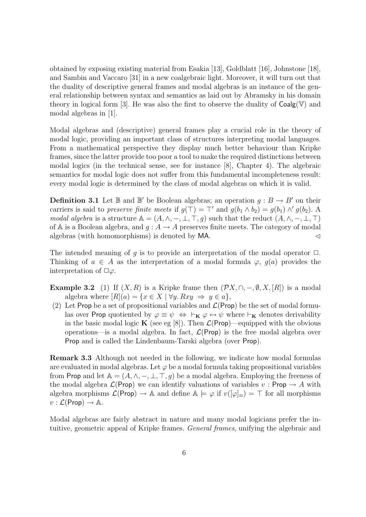obtained by exposing existing material from Esakia [13], Goldblatt [16], Johnstone [18], and Sambin and Vaccaro [31] in a new coalgebraic light. Moreover, it will turn out that the duality of descriptive general frames and modal algebras is an instance of the general relationship between syntax and semantics as laid out by Abramsky in his domain theory in logical form [3]. He was also the first to observe the duality of  $Coalg(V)$  and modal algebras in [1].

Modal algebras and (descriptive) general frames play a crucial role in the theory of modal logic, providing an important class of structures interpreting modal languages. From a mathematical perspective they display much better behaviour than Kripke frames, since the latter provide too poor a tool to make the required distinctions between modal logics (in the technical sense, see for instance [8], Chapter 4). The algebraic semantics for modal logic does not suffer from this fundamental incompleteness result: every modal logic is determined by the class of modal algebras on which it is valid.

**Definition 3.1** Let  $\mathbb{B}$  and  $\mathbb{B}'$  be Boolean algebras; an operation  $g : B \to B'$  on their carriers is said to preserve finite meets if  $g(\top) = \top'$  and  $g(b_1 \wedge b_2) = g(b_1) \wedge' g(b_2)$ . modal algebra is a structure  $\mathbb{A} = (A, \wedge, -, \bot, \top, q)$  such that the reduct  $(A, \wedge, -, \bot, \top)$ of A is a Boolean algebra, and  $g : A \to A$  preserves finite meets. The category of modal algebras (with homomorphisms) is denoted by  $MA$ .

The intended meaning of q is to provide an interpretation of the modal operator  $\Box$ . Thinking of  $a \in A$  as the interpretation of a modal formula  $\varphi, g(a)$  provides the interpretation of  $\Box \varphi$ .

**Example 3.2** (1) If  $(X, R)$  is a Kripke frame then  $(\mathcal{P}X, \cap, -, \emptyset, X, [R])$  is a modal algebra where  $[R](a) = \{x \in X \mid \forall y. Rxy \implies y \in a\},\$ 

(2) Let Prop be a set of propositional variables and  $\mathcal{L}(\mathsf{Prop})$  be the set of modal formulas over Prop quotiented by  $\varphi \equiv \psi \Leftrightarrow \vdash_{\mathbf{K}} \varphi \leftrightarrow \psi$  where  $\vdash_{\mathbf{K}}$  denotes derivability in the basic modal logic **K** (see eg [8]). Then  $\mathcal{L}(\mathsf{Prop})$ —equipped with the obvious operations—is a modal algebra. In fact,  $\mathcal{L}(\mathsf{Prop})$  is the free modal algebra over Prop and is called the Lindenbaum-Tarski algebra (over Prop).

Remark 3.3 Although not needed in the following, we indicate how modal formulas are evaluated in modal algebras. Let  $\varphi$  be a modal formula taking propositional variables from Prop and let  $A = (A, \wedge, -, \bot, \top, g)$  be a modal algebra. Employing the freeness of the modal algebra  $\mathcal{L}(\mathsf{Prop})$  we can identify valuations of variables  $v : \mathsf{Prop} \to A$  with algebra morphisms  $\mathcal{L}(\mathsf{Prop}) \to \mathbb{A}$  and define  $\mathbb{A} \models \varphi$  if  $v([\varphi]_{\equiv}) = \top$  for all morphisms  $v : \mathcal{L}(\mathsf{Prop}) \to \mathbb{A}.$ 

Modal algebras are fairly abstract in nature and many modal logicians prefer the intuitive, geometric appeal of Kripke frames. General frames, unifying the algebraic and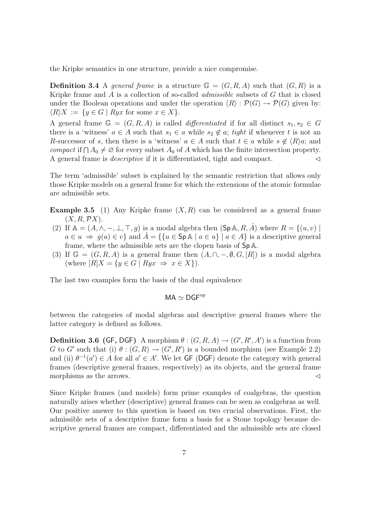the Kripke semantics in one structure, provide a nice compromise.

**Definition 3.4** A general frame is a structure  $\mathbb{G} = (G, R, A)$  such that  $(G, R)$  is a Kripke frame and  $\tilde{A}$  is a collection of so-called *admissible* subsets of  $G$  that is closed under the Boolean operations and under the operation  $\langle R \rangle : \mathcal{P}(G) \to \mathcal{P}(G)$  given by:  $\langle R \rangle X := \{ y \in G \mid Ryx \text{ for some } x \in X \}.$ 

A general frame  $\mathbb{G} = (G, R, A)$  is called *differentiated* if for all distinct  $s_1, s_2 \in G$ there is a 'witness'  $a \in A$  such that  $s_1 \in a$  while  $s_2 \notin a$ ; tight if whenever t is not an R-successor of s, then there is a 'witness'  $a \in A$  such that  $t \in a$  while  $s \notin \langle R \rangle a$ ; and compact if  $\bigcap A_0 \neq \emptyset$  for every subset  $A_0$  of A which has the finite intersection property. A general frame is *descriptive* if it is differentiated, tight and compact.  $\triangleleft$ 

The term 'admissible' subset is explained by the semantic restriction that allows only those Kripke models on a general frame for which the extensions of the atomic formulae are admissible sets.

- **Example 3.5** (1) Any Kripke frame  $(X, R)$  can be considered as a general frame  $(X, R, \mathcal{P}X).$
- (2) If  $\mathbb{A} = (A, \wedge, -, \bot, \top, g)$  is a modal algebra then  $(\mathsf{Sp}\,\mathbb{A}, R, \hat{A})$  where  $R = \{(u, v) \mid$  $a \in u \Rightarrow g(a) \in v$  and  $\hat{A} = \{ \{u \in \mathsf{Sp} \land \mid a \in u \} \mid a \in A \}$  is a descriptive general frame, where the admissible sets are the clopen basis of Sp A.
- (3) If  $\mathbb{G} = (G, R, A)$  is a general frame then  $(A, \cap, -, \emptyset, G, [R])$  is a modal algebra (where  $[R]X = \{y \in G \mid Ryx \Rightarrow x \in X\}$ ).

The last two examples form the basis of the dual equivalence

$$
\mathsf{MA} \simeq \mathsf{DGF}^\mathrm{op}
$$

between the categories of modal algebras and descriptive general frames where the latter category is defined as follows.

**Definition 3.6 (GF, DGF)** A morphism  $\theta$  :  $(G, R, A) \rightarrow (G', R', A')$  is a function from G to G' such that (i)  $\theta$ :  $(G, R) \rightarrow (G', R')$  is a bounded morphism (see Example 2.2) and (ii)  $\theta^{-1}(a') \in A$  for all  $a' \in A'$ . We let GF (DGF) denote the category with general frames (descriptive general frames, respectively) as its objects, and the general frame morphisms as the arrows.  $\triangleleft$ 

Since Kripke frames (and models) form prime examples of coalgebras, the question naturally arises whether (descriptive) general frames can be seen as coalgebras as well. Our positive answer to this question is based on two crucial observations. First, the admissible sets of a descriptive frame form a basis for a Stone topology because descriptive general frames are compact, differentiated and the admissible sets are closed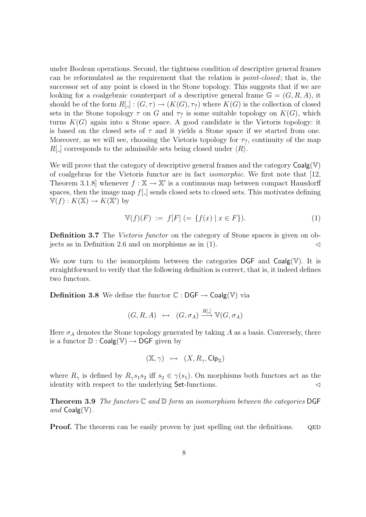under Boolean operations. Second, the tightness condition of descriptive general frames can be reformulated as the requirement that the relation is point-closed; that is, the successor set of any point is closed in the Stone topology. This suggests that if we are looking for a coalgebraic counterpart of a descriptive general frame  $\mathbb{G} = (G, R, A)$ , it should be of the form  $R[\cdot] : (G, \tau) \to (K(G), \tau)$  where  $K(G)$  is the collection of closed sets in the Stone topology  $\tau$  on G and  $\tau$ ? is some suitable topology on  $K(G)$ , which turns  $K(G)$  again into a Stone space. A good candidate is the Vietoris topology: it is based on the closed sets of  $\tau$  and it yields a Stone space if we started from one. Moreover, as we will see, choosing the Vietoris topology for  $\tau$ ?, continuity of the map  $R[\_]$  corresponds to the admissible sets being closed under  $\langle R \rangle$ .

We will prove that the category of descriptive general frames and the category  $\text{Coalg}(\mathbb{V})$ of coalgebras for the Vietoris functor are in fact isomorphic. We first note that [12, Theorem 3.1.8 whenever  $f : \mathbb{X} \to \mathbb{X}'$  is a continuous map between compact Hausdorff spaces, then the image map  $f[\ ]$  sends closed sets to closed sets. This motivates defining  $\mathbb{V}(f): K(\mathbb{X}) \to K(\mathbb{X}')$  by

$$
\mathbb{V}(f)(F) := f[F] (= \{ f(x) \mid x \in F \}). \tag{1}
$$

Definition 3.7 The *Vietoris functor* on the category of Stone spaces is given on objects as in Definition 2.6 and on morphisms as in  $(1)$ .

We now turn to the isomorphism between the categories DGF and  $Coalg(\mathbb{V})$ . It is straightforward to verify that the following definition is correct, that is, it indeed defines two functors.

**Definition 3.8** We define the functor  $\mathbb{C} : DGF \to Coalg(\mathbb{V})$  via

$$
(G, R, A) \mapsto (G, \sigma_A) \xrightarrow{R[\cdot]} \mathbb{V}(G, \sigma_A)
$$

Here  $\sigma_A$  denotes the Stone topology generated by taking A as a basis. Conversely, there is a functor  $\mathbb{D}$  : Coalg(V)  $\rightarrow$  DGF given by

$$
(\mathbb{X},\gamma) \quad \mapsto \quad (X,R_\gamma,\mathsf{Clp}_{\mathbb{X}})
$$

where  $R_{\gamma}$  is defined by  $R_{\gamma}s_1s_2$  iff  $s_2 \in \gamma(s_1)$ . On morphisms both functors act as the identity with respect to the underlying  $Set$ -functions.

**Theorem 3.9** The functors  $\mathbb C$  and  $\mathbb D$  form an isomorphism between the categories DGF and  $Coalg(\mathbb{V})$ .

**Proof.** The theorem can be easily proven by just spelling out the definitions. QED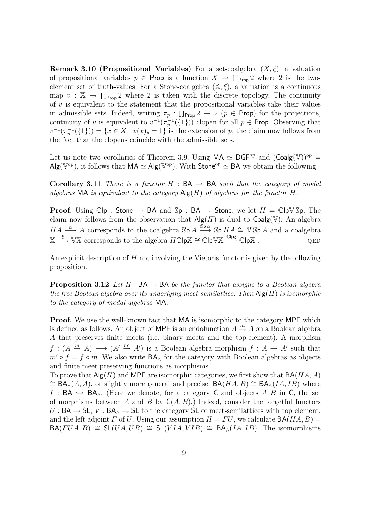**Remark 3.10 (Propositional Variables)** For a set-coalgebra  $(X, \xi)$ , a valuation of propositional variables  $p \in \mathsf{Prop}$  is a function  $X \to \prod_{\mathsf{Prop}} 2$  where 2 is the twoelement set of truth-values. For a Stone-coalgebra  $(\mathbb{X}, \xi)$ , a valuation is a continuous map  $v : \mathbb{X} \to \prod_{\text{Prop}} 2$  where 2 is taken with the discrete topology. The continuity of  $v$  is equivalent to the statement that the propositional variables take their values in admissible sets. Indeed, writing  $\pi_p : \prod_{\text{Prop}} 2 \to 2$  ( $p \in \text{Prop}$ ) for the projections, continuity of v is equivalent to  $v^{-1}(\pi_p^{-1}(\{1\}))$  clopen for all  $p \in \text{Prop.}$  Observing that  $v^{-1}(\pi_p^{-1}(\{1\})) = \{x \in X \mid v(x)_p = 1\}$  is the extension of p, the claim now follows from the fact that the clopens coincide with the admissible sets.

Let us note two corollaries of Theorem 3.9. Using  $MA \simeq DGF^{op}$  and  $(Coalg(\mathbb{V}))^{op}$  =  $\mathsf{Alg}(\mathbb{V}^{\mathrm{op}})$ , it follows that  $\mathsf{MA} \simeq \mathsf{Alg}(\mathbb{V}^{\mathrm{op}})$ . With Stone<sup>op</sup>  $\simeq$  BA we obtain the following.

**Corollary 3.11** There is a functor  $H : BA \rightarrow BA$  such that the category of modal algebras MA is equivalent to the category  $\mathsf{Alg}(H)$  of algebras for the functor H.

**Proof.** Using  $\mathbb{C}[\mathsf{p} : \mathsf{Stone} \to \mathsf{BA} \text{ and } \mathsf{Sp} : \mathsf{BA} \to \mathsf{Stone}, \text{ we let } H = \mathbb{C}[\mathsf{pVSp}. \text{ The } \mathsf{pVSp} \to \mathsf{B}$ claim now follows from the observation that  $\mathsf{Alg}(H)$  is dual to  $\mathsf{Coalg}(\mathbb{V})$ : An algebra  $HA \stackrel{\alpha}{\longrightarrow} A$  corresponds to the coalgebra  $\mathbb{S}p A \stackrel{\overline{\mathbb{S}p\alpha}}{\longrightarrow} \mathbb{S}p HA \cong V\mathbb{S}pA$  and a coalgebra  $X \xrightarrow{\xi} \mathbb{V} \mathbb{X}$  corresponds to the algebra  $H\mathbb{C} \mathsf{lp} \mathbb{X} \cong \mathbb{C} \mathsf{lp} \mathbb{V} \mathbb{X} \xrightarrow{\mathbb{C} \mathsf{lp} \xi} \mathbb{C} \mathsf{lp} \mathbb{X}$ .

An explicit description of  $H$  not involving the Vietoris functor is given by the following proposition.

**Proposition 3.12** Let H :  $BA \rightarrow BA$  be the functor that assigns to a Boolean algebra the free Boolean algebra over its underlying meet-semilattice. Then  $\mathsf{Alg}(H)$  is isomorphic to the category of modal algebras MA.

Proof. We use the well-known fact that MA is isomorphic to the category MPF which is defined as follows. An object of MPF is an endofunction  $A \stackrel{m}{\rightarrow} A$  on a Boolean algebra A that preserves finite meets (i.e. binary meets and the top-element). A morphism  $f: (A \stackrel{m}{\to} A) \longrightarrow (A' \stackrel{m'}{\to} A')$  is a Boolean algebra morphism  $f: A \to A'$  such that  $m' \circ f = f \circ m$ . We also write  $BA_\wedge$  for the category with Boolean algebras as objects and finite meet preserving functions as morphisms.

To prove that  $\mathsf{Alg}(H)$  and MPF are isomorphic categories, we first show that  $\mathsf{BA}(HA, A)$  $\cong$  BA<sub>∧</sub>(A, A), or slightly more general and precise, BA(HA, B)  $\cong$  BA<sub>∧</sub>(IA, IB) where I : BA  $\hookrightarrow$  BA<sub>^</sub>. (Here we denote, for a category C and objects A, B in C, the set of morphisms between A and B by  $C(A, B)$ .) Indeed, consider the forgetful functors  $U : BA \to SL$ ,  $V : BA \to SL$  to the category SL of meet-semilattices with top element, and the left adjoint F of U. Using our assumption  $H = FU$ , we calculate  $BA(HA, B) =$  $BA(FUA, B) \cong SL(UA, UB) \cong SL(VIA, VIB) \cong BA_{\wedge}(IA, IB)$ . The isomorphisms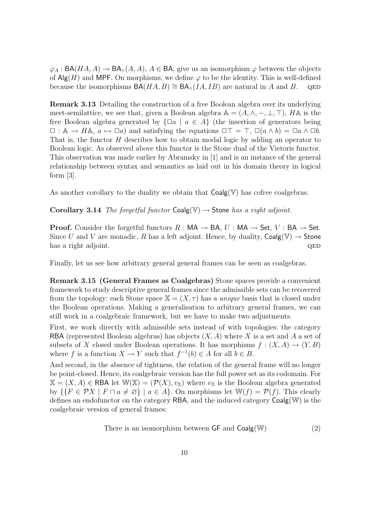$\varphi_A : BA(HA, A) \to BA_{\wedge}(A, A), A \in BA$ , give us an isomorphism  $\varphi$  between the objects of  $\mathsf{Alg}(H)$  and MPF. On morphisms, we define  $\varphi$  to be the identity. This is well-defined because the isomorphisms  $BA(HA, B) \cong BA_{\wedge}(IA, IB)$  are natural in A and B. QED

Remark 3.13 Detailing the construction of a free Boolean algebra over its underlying meet-semilattice, we see that, given a Boolean algebra  $\mathbb{A} = (A, \wedge, -, \bot, \top)$ , H $\mathbb{A}$  is the free Boolean algebra generated by  $\{\Box a \mid a \in A\}$  (the insertion of generators being  $\Box$ : A  $\rightarrow$  HA,  $a \mapsto \Box a$ ) and satisfying the equations  $\Box \top = \top$ ,  $\Box(a \wedge b) = \Box a \wedge \Box b$ . That is, the functor H describes how to obtain modal logic by adding an operator to Boolean logic. As observed above this functor is the Stone dual of the Vietoris functor. This observation was made earlier by Abramsky in [1] and is an instance of the general relationship between syntax and semantics as laid out in his domain theory in logical form [3].

As another corollary to the duality we obtain that  $Coalg(\mathbb{V})$  has cofree coalgebras.

Corollary 3.14 The forgetful functor  $Coalg(\mathbb{V}) \rightarrow$  Stone has a right adjoint.

**Proof.** Consider the forgetful functors  $R : MA \rightarrow BA$ ,  $U : MA \rightarrow Set$ ,  $V : BA \rightarrow Set$ . Since U and V are monadic, R has a left adjoint. Hence, by duality,  $\text{Coalg}(\mathbb{V}) \to \text{Stone}$ has a right adjoint. Que question of the contract of the contract of the question of  $QED$ 

Finally, let us see how arbitrary general general frames can be seen as coalgebras.

Remark 3.15 (General Frames as Coalgebras) Stone spaces provide a convenient framework to study descriptive general frames since the admissible sets can be recovered from the topology: each Stone space  $X = (X, \tau)$  has a *unique* basis that is closed under the Boolean operations. Making a generalisation to arbitrary general frames, we can still work in a coalgebraic framework, but we have to make two adjustments.

First, we work directly with admissible sets instead of with topologies: the category RBA (represented Boolean algebras) has objects  $(X, A)$  where X is a set and A a set of subsets of X closed under Boolean operations. It has morphisms  $f : (X, A) \to (Y, B)$ where f is a function  $X \to Y$  such that  $f^{-1}(b) \in A$  for all  $b \in B$ .

And second, in the absence of tightness, the relation of the general frame will no longer be point-closed. Hence, its coalgebraic version has the full power set as its codomain. For  $X = (X, A) \in \mathsf{RBA}$  let  $\mathbb{W}(\mathbb{X}) = (\mathcal{P}(X), v_{\mathbb{X}})$  where  $v_{\mathbb{X}}$  is the Boolean algebra generated by  $\{ \{ F \in \mathcal{P}X \mid F \cap a \neq \emptyset \} \mid a \in A \}.$  On morphisms let  $\mathbb{W}(f) = \mathcal{P}(f)$ . This clearly defines an endofunctor on the category RBA, and the induced category Coalg(W) is the coalgebraic version of general frames:

There is an isomorphism between 
$$
\mathsf{GF}
$$
 and  $\mathsf{Coalg}(\mathbb{W})$  (2)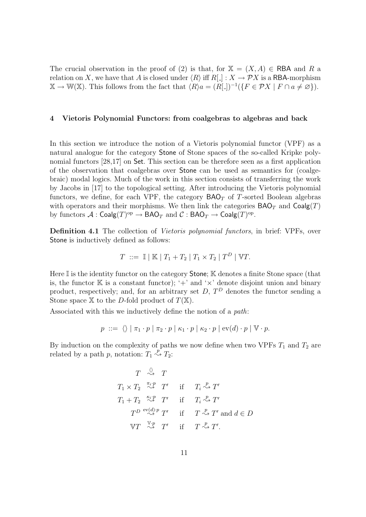The crucial observation in the proof of (2) is that, for  $X = (X, A) \in \text{RBA}$  and R a relation on X, we have that A is closed under  $\langle R \rangle$  iff  $R[$  :  $X \to \mathcal{P}X$  is a RBA-morphism  $\mathbb{X} \to \mathbb{W}(\mathbb{X})$ . This follows from the fact that  $\langle R \rangle a = (R[\_])^{-1}(\lbrace F \in \mathcal{P}X \mid F \cap a \neq \emptyset \rbrace)$ .

#### 4 Vietoris Polynomial Functors: from coalgebras to algebras and back

In this section we introduce the notion of a Vietoris polynomial functor (VPF) as a natural analogue for the category Stone of Stone spaces of the so-called Kripke polynomial functors [28,17] on Set. This section can be therefore seen as a first application of the observation that coalgebras over Stone can be used as semantics for (coalgebraic) modal logics. Much of the work in this section consists of transferring the work by Jacobs in [17] to the topological setting. After introducing the Vietoris polynomial functors, we define, for each VPF, the category  $\mathsf{BAO}_T$  of T-sorted Boolean algebras with operators and their morphisms. We then link the categories  $\mathsf{BAO}_T$  and  $\mathsf{Coalg}(T)$ by functors  $\mathcal{A} : \mathsf{Coalg}(T)^\mathrm{op} \to \mathsf{BAO}_T$  and  $\mathcal{C} : \mathsf{BAO}_T \to \mathsf{Coalg}(T)^\mathrm{op}.$ 

Definition 4.1 The collection of Vietoris polynomial functors, in brief: VPFs, over Stone is inductively defined as follows:

$$
T \ ::= \ \mathbb{I} \mid \mathbb{K} \mid T_1 + T_2 \mid T_1 \times T_2 \mid T^D \mid \mathbb{V}T.
$$

Here  $\mathbb I$  is the identity functor on the category **Stone**;  $\mathbb K$  denotes a finite Stone space (that is, the functor  $\mathbb K$  is a constant functor); '+' and ' $\times$ ' denote disjoint union and binary product, respectively; and, for an arbitrary set  $D$ ,  $T<sup>D</sup>$  denotes the functor sending a Stone space X to the D-fold product of  $T(\mathbb{X})$ .

Associated with this we inductively define the notion of a path:

$$
p ::= \langle \rangle | \pi_1 \cdot p | \pi_2 \cdot p | \kappa_1 \cdot p | \kappa_2 \cdot p | \text{ev}(d) \cdot p | \mathbb{V} \cdot p.
$$

By induction on the complexity of paths we now define when two VPFs  $T_1$  and  $T_2$  are related by a path p, notation:  $T_1 \stackrel{p}{\rightsquigarrow} T_2$ :

$$
T \overset{\langle}{\leadsto} T
$$
  
\n $T_1 \times T_2 \overset{\pi_i \cdot p}{\leadsto} T'$  if  $T_i \overset{p}{\leadsto} T'$   
\n $T_1 + T_2 \overset{\kappa_i \cdot p}{\leadsto} T'$  if  $T_i \overset{p}{\leadsto} T'$   
\n $T^D \overset{\text{ev}(d)}{\leadsto} T'$  if  $T \overset{p}{\leadsto} T'$  and  $d \in D$   
\n $\forall T \overset{\Psi \cdot p}{\leadsto} T'$  if  $T \overset{p}{\leadsto} T'$ .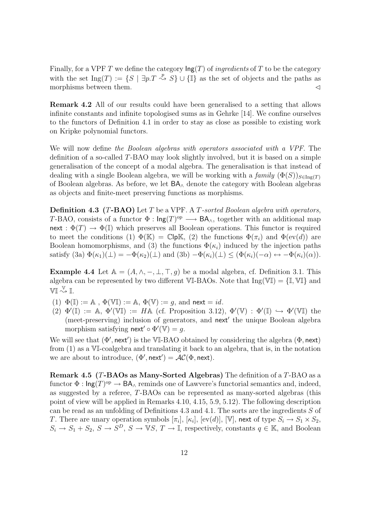Finally, for a VPF T we define the category  $\text{Ing}(T)$  of *ingredients* of T to be the category with the set Ing(T) :=  $\{S \mid \exists p.T \stackrel{p}{\leadsto} S\} \cup \{\mathbb{I}\}\$ as the set of objects and the paths as morphisms between them.  $\triangleleft$ 

Remark 4.2 All of our results could have been generalised to a setting that allows infinite constants and infinite topologised sums as in Gehrke [14]. We confine ourselves to the functors of Definition 4.1 in order to stay as close as possible to existing work on Kripke polynomial functors.

We will now define the Boolean algebras with operators associated with a VPF. The definition of a so-called T-BAO may look slightly involved, but it is based on a simple generalisation of the concept of a modal algebra. The generalisation is that instead of dealing with a single Boolean algebra, we will be working with a family  $(\Phi(S))_{S\in\text{Ing}(T)}$ of Boolean algebras. As before, we let BA<sup>∧</sup> denote the category with Boolean algebras as objects and finite-meet preserving functions as morphisms.

**Definition 4.3 (T-BAO)** Let T be a VPF. A T-sorted Boolean algebra with operators, T-BAO, consists of a functor  $\Phi : \text{Ing}(T)^{op} \longrightarrow \text{BA}_{\wedge}$ , together with an additional map next :  $\Phi(T) \to \Phi(I)$  which preserves all Boolean operations. This functor is required to meet the conditions (1)  $\Phi(\mathbb{K}) = \mathbb{C}[\mathsf{p}\mathbb{K}, (2)$  the functions  $\Phi(\pi_i)$  and  $\Phi(\mathrm{ev}(d))$  are Boolean homomorphisms, and (3) the functions  $\Phi(\kappa_i)$  induced by the injection paths satisfy  $(3a) \Phi(\kappa_1)(\perp) = -\Phi(\kappa_2)(\perp)$  and  $(3b) - \Phi(\kappa_i)(\perp) \leq (\Phi(\kappa_i)(-\alpha) \leftrightarrow -\Phi(\kappa_i)(\alpha)).$ 

Example 4.4 Let  $A = (A, \wedge, -, \bot, \top, g)$  be a modal algebra, cf. Definition 3.1. This algebra can be represented by two different  $\mathbb{VI}$ -BAOs. Note that  $\text{Ing}(\mathbb{VI}) = {\{I, \mathbb{VI}\}}$  and  $\mathbb{VI} \stackrel{\mathbb{V}}{\rightsquigarrow} \mathbb{I}.$ 

- (1)  $\Phi(\mathbb{I}) := \mathbb{A}$ ,  $\Phi(\mathbb{VI}) := \mathbb{A}$ ,  $\Phi(\mathbb{V}) := q$ , and next  $= id$ .
- (2)  $\Phi'(\mathbb{I}) := \mathbb{A}, \ \Phi'(\mathbb{V}\mathbb{I}) := H\mathbb{A}$  (cf. Proposition 3.12),  $\Phi'(\mathbb{V}) : \Phi'(\mathbb{I}) \hookrightarrow \Phi'(\mathbb{V}\mathbb{I})$  the (meet-preserving) inclusion of generators, and next' the unique Boolean algebra morphism satisfying  $\textsf{next}' \circ \Phi'(\mathbb{V}) = g$ .

We will see that  $(\Phi', \text{next}')$  is the VI-BAO obtained by considering the algebra  $(\Phi, \text{next})$ from (1) as a VI-coalgebra and translating it back to an algebra, that is, in the notation we are about to introduce,  $(\Phi', \text{next}') = \mathcal{AC}(\Phi, \text{next})$ .

Remark 4.5 (T-BAOs as Many-Sorted Algebras) The definition of a T-BAO as a functor  $\Phi: \mathsf{Ing}(T)^\text{op} \to \mathsf{BA}_\wedge$  reminds one of Lawvere's functorial semantics and, indeed, as suggested by a referee, T-BAOs can be represented as many-sorted algebras (this point of view will be applied in Remarks 4.10, 4.15, 5.9, 5.12). The following description can be read as an unfolding of Definitions 4.3 and 4.1. The sorts are the ingredients S of T. There are unary operation symbols  $[\pi_i]$ ,  $[\kappa_i]$ ,  $[\text{ev}(d)]$ ,  $[\mathbb{V}]$ , next of type  $S_i \to S_1 \times S_2$ ,  $S_i \to S_1 + S_2$ ,  $S \to S^D$ ,  $S \to \mathbb{V}S$ ,  $T \to \mathbb{I}$ , respectively, constants  $q \in \mathbb{K}$ , and Boolean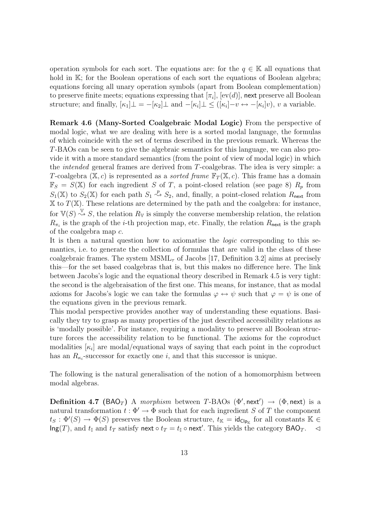operation symbols for each sort. The equations are: for the  $q \in \mathbb{K}$  all equations that hold in K; for the Boolean operations of each sort the equations of Boolean algebra; equations forcing all unary operation symbols (apart from Boolean complementation) to preserve finite meets; equations expressing that  $[\pi_i]$ ,  $[ev(d)]$ , next preserve all Boolean structure; and finally,  $[\kappa_1] \perp = -[\kappa_2] \perp$  and  $-[\kappa_i] \perp \leq ([\kappa_i] - v \leftrightarrow -[\kappa_i]v)$ , v a variable.

Remark 4.6 (Many-Sorted Coalgebraic Modal Logic) From the perspective of modal logic, what we are dealing with here is a sorted modal language, the formulas of which coincide with the set of terms described in the previous remark. Whereas the T-BAOs can be seen to give the algebraic semantics for this language, we can also provide it with a more standard semantics (from the point of view of modal logic) in which the intended general frames are derived from T-coalgebras. The idea is very simple: a T-coalgebra  $(X, c)$  is represented as a *sorted frame*  $\mathbb{F}_T(X, c)$ . This frame has a domain  $\mathbb{F}_S = S(\mathbb{X})$  for each ingredient S of T, a point-closed relation (see page 8)  $R_p$  from  $S_1(\mathbb{X})$  to  $S_2(\mathbb{X})$  for each path  $S_1 \stackrel{p}{\leadsto} S_2$ , and, finally, a point-closed relation  $R_{\text{next}}$  from  $X$  to  $T(X)$ . These relations are determined by the path and the coalgebra: for instance, for  $\mathbb{V}(S) \stackrel{\mathbb{V}}{\rightsquigarrow} S$ , the relation  $R_{\mathbb{V}}$  is simply the converse membership relation, the relation  $R_{\pi_i}$  is the graph of the *i*-th projection map, etc. Finally, the relation  $R_{\text{next}}$  is the graph of the coalgebra map c.

It is then a natural question how to axiomatise the logic corresponding to this semantics, i.e. to generate the collection of formulas that are valid in the class of these coalgebraic frames. The system  $MSML_{\tau}$  of Jacobs [17, Definition 3.2] aims at precisely this—for the set based coalgebras that is, but this makes no difference here. The link between Jacobs's logic and the equational theory described in Remark 4.5 is very tight: the second is the algebraisation of the first one. This means, for instance, that as modal axioms for Jacobs's logic we can take the formulas  $\varphi \leftrightarrow \psi$  such that  $\varphi = \psi$  is one of the equations given in the previous remark.

This modal perspective provides another way of understanding these equations. Basically they try to grasp as many properties of the just described accessibility relations as is 'modally possible'. For instance, requiring a modality to preserve all Boolean structure forces the accessibility relation to be functional. The axioms for the coproduct modalities  $[\kappa_i]$  are modal/equational ways of saying that each point in the coproduct has an  $R_{\kappa_i}$ -successor for exactly one i, and that this successor is unique.

The following is the natural generalisation of the notion of a homomorphism between modal algebras.

**Definition 4.7** (BAO<sub>T</sub>) A morphism between T-BAOs ( $\Phi'$ , next')  $\rightarrow$  ( $\Phi$ , next) is a natural transformation  $t : \Phi' \to \Phi$  such that for each ingredient S of T the component  $t_S : \Phi'(S) \to \Phi(S)$  preserves the Boolean structure,  $t_K = id_{\text{Clp}_K}$  for all constants  $\mathbb{K} \in$  $\mathsf{Ing}(T)$ , and  $t_{\mathbb{I}}$  and  $t_T$  satisfy next  $\circ t_T = t_{\mathbb{I}} \circ \mathsf{next}'$ . This yields the category  $\mathsf{BAO}_T$ .  $\lhd$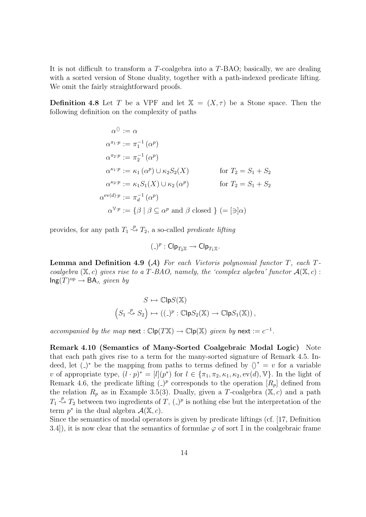It is not difficult to transform a T-coalgebra into a T-BAO; basically, we are dealing with a sorted version of Stone duality, together with a path-indexed predicate lifting. We omit the fairly straightforward proofs.

**Definition 4.8** Let T be a VPF and let  $X = (X, \tau)$  be a Stone space. Then the following definition on the complexity of paths

$$
\alpha^{\langle\rangle} := \alpha
$$
  
\n
$$
\alpha^{\pi_1 \cdot p} := \pi_1^{-1}(\alpha^p)
$$
  
\n
$$
\alpha^{\pi_2 \cdot p} := \pi_2^{-1}(\alpha^p)
$$
  
\n
$$
\alpha^{\kappa_1 \cdot p} := \kappa_1(\alpha^p) \cup \kappa_2 S_2(X) \qquad \text{for } T_2 = S_1 + S_2
$$
  
\n
$$
\alpha^{\kappa_2 \cdot p} := \kappa_1 S_1(X) \cup \kappa_2(\alpha^p) \qquad \text{for } T_2 = S_1 + S_2
$$
  
\n
$$
\alpha^{\text{ev}(d) \cdot p} := \pi_d^{-1}(\alpha^p)
$$
  
\n
$$
\alpha^{\mathbb{V} \cdot p} := \{ \beta \mid \beta \subseteq \alpha^p \text{ and } \beta \text{ closed } \} (= [\exists] \alpha)
$$

provides, for any path  $T_1 \stackrel{p}{\rightsquigarrow} T_2$ , a so-called *predicate lifting* 

$$
(\_)^p : \mathsf{Clp}_{T_2\mathbb{X}} \to \mathsf{Clp}_{T_1\mathbb{X}}.
$$

**Lemma and Definition 4.9 (A)** For each Vietoris polynomial functor  $T$ , each  $T$ coalgebra  $(X, c)$  gives rise to a T-BAO, namely, the 'complex algebra' functor  $\mathcal{A}(X, c)$ :  $\mathsf{Ing}(T)^\mathrm{op} \to \mathsf{BA}_{\wedge}$  given by

$$
S \mapsto \mathbb{C}\mathsf{lp} S(\mathbb{X})
$$
  

$$
\left(S_1 \stackrel{p}{\leadsto} S_2\right) \mapsto \left((-)^p : \mathbb{C}\mathsf{lp} S_2(\mathbb{X}) \to \mathbb{C}\mathsf{lp} S_1(\mathbb{X})\right),
$$

accompanied by the map next :  $\mathbb{C}\mathsf{lp}(T\mathbb{X}) \to \mathbb{C}\mathsf{lp}(\mathbb{X})$  given by next :=  $c^{-1}$ .

Remark 4.10 (Semantics of Many-Sorted Coalgebraic Modal Logic) Note that each path gives rise to a term for the many-sorted signature of Remark 4.5. Indeed, let (-)<sup>\*</sup> be the mapping from paths to terms defined by  $\langle \rangle^* = v$  for a variable v of appropriate type,  $(l \cdot p)^* = [l](p^*)$  for  $l \in {\pi_1, \pi_2, \kappa_1, \kappa_2, \text{ev}(d), \mathbb{V}}$ . In the light of Remark 4.6, the predicate lifting  $\binom{p}{r}$  corresponds to the operation  $\lfloor R_p \rfloor$  defined from the relation  $R_p$  as in Example 3.5(3). Dually, given a T-coalgebra ( $\mathbb{X}, c$ ) and a path  $T_1 \stackrel{p}{\rightsquigarrow} T_2$  between two ingredients of  $T$ ,  $\left(\frac{p}{p}\right)$  is nothing else but the interpretation of the term  $p^*$  in the dual algebra  $\mathcal{A}(\mathbb{X}, c)$ .

Since the semantics of modal operators is given by predicate liftings (cf. [17, Definition 3.4), it is now clear that the semantics of formulae  $\varphi$  of sort I in the coalgebraic frame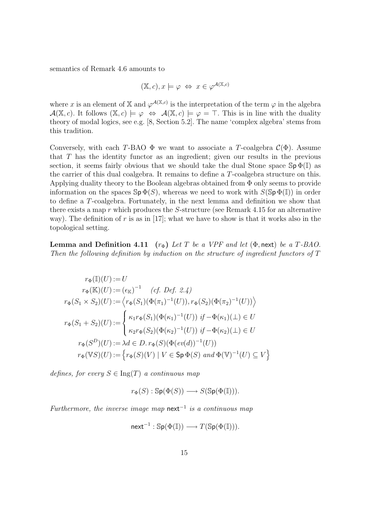semantics of Remark 4.6 amounts to

$$
(\mathbb{X},c), x \models \varphi \Leftrightarrow x \in \varphi^{\mathcal{A}(\mathbb{X},c)}
$$

where x is an element of X and  $\varphi^{\mathcal{A}(\mathbb{X},c)}$  is the interpretation of the term  $\varphi$  in the algebra  $\mathcal{A}(\mathbb{X}, c)$ . It follows  $(\mathbb{X}, c) \models \varphi \Leftrightarrow \mathcal{A}(\mathbb{X}, c) \models \varphi = \top$ . This is in line with the duality theory of modal logics, see e.g. [8, Section 5.2]. The name 'complex algebra' stems from this tradition.

Conversely, with each T-BAO  $\Phi$  we want to associate a T-coalgebra  $\mathcal{C}(\Phi)$ . Assume that  $T$  has the identity functor as an ingredient; given our results in the previous section, it seems fairly obvious that we should take the dual Stone space  $\mathbb{S}_p \Phi(\mathbb{I})$  as the carrier of this dual coalgebra. It remains to define a T-coalgebra structure on this. Applying duality theory to the Boolean algebras obtained from Φ only seems to provide information on the spaces  $\mathbb{S}_p \Phi(S)$ , whereas we need to work with  $S(\mathbb{S}_p \Phi(\mathbb{I}))$  in order to define a T-coalgebra. Fortunately, in the next lemma and definition we show that there exists a map  $r$  which produces the  $S$ -structure (see Remark 4.15 for an alternative way). The definition of r is as in [17]; what we have to show is that it works also in the topological setting.

**Lemma and Definition 4.11** ( $r_{\Phi}$ ) Let T be a VPF and let ( $\Phi$ , next) be a T-BAO. Then the following definition by induction on the structure of ingredient functors of T

$$
r_{\Phi}(\mathbb{I})(U) := U
$$
  
\n
$$
r_{\Phi}(\mathbb{K})(U) := (\epsilon_{\mathbb{K}})^{-1} \quad (cf. \ Def. \ 2.4)
$$
  
\n
$$
r_{\Phi}(S_1 \times S_2)(U) := \left\langle r_{\Phi}(S_1)(\Phi(\pi_1)^{-1}(U)), r_{\Phi}(S_2)(\Phi(\pi_2)^{-1}(U)) \right\rangle
$$
  
\n
$$
r_{\Phi}(S_1 + S_2)(U) := \begin{cases} \kappa_1 r_{\Phi}(S_1)(\Phi(\kappa_1)^{-1}(U)) & \text{if } -\Phi(\kappa_1)(\bot) \in U \\ \kappa_2 r_{\Phi}(S_2)(\Phi(\kappa_2)^{-1}(U)) & \text{if } -\Phi(\kappa_2)(\bot) \in U \end{cases}
$$
  
\n
$$
r_{\Phi}(S^D)(U) := \lambda d \in D. \ r_{\Phi}(S)(\Phi(ev(d))^{-1}(U))
$$
  
\n
$$
r_{\Phi}(\mathbb{V}S)(U) := \left\{ r_{\Phi}(S)(V) \mid V \in \text{Sp } \Phi(S) \text{ and } \Phi(\mathbb{V})^{-1}(U) \subseteq V \right\}
$$

defines, for every  $S \in \text{Ing}(T)$  a continuous map

$$
r_{\Phi}(S): \mathbb{S}p(\Phi(S)) \longrightarrow S(\mathbb{S}p(\Phi(\mathbb{I}))).
$$

Furthermore, the inverse image map  $next^{-1}$  is a continuous map

$$
\mathsf{next}^{-1} : \mathbb{Sp}(\Phi(\mathbb{I})) \longrightarrow T(\mathbb{Sp}(\Phi(\mathbb{I}))).
$$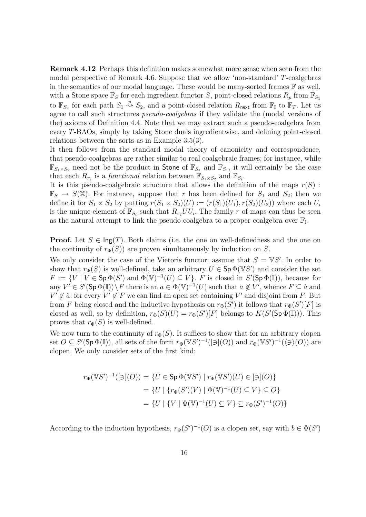Remark 4.12 Perhaps this definition makes somewhat more sense when seen from the modal perspective of Remark 4.6. Suppose that we allow 'non-standard' T-coalgebras in the semantics of our modal language. These would be many-sorted frames  $\mathbb F$  as well, with a Stone space  $\mathbb{F}_S$  for each ingredient functor S, point-closed relations  $R_p$  from  $\mathbb{F}_{S_1}$ to  $\mathbb{F}_{S_2}$  for each path  $S_1 \stackrel{p}{\leadsto} S_2$ , and a point-closed relation  $R_{\text{next}}$  from  $\mathbb{F}_I$  to  $\mathbb{F}_T$ . Let us agree to call such structures pseudo-coalgebras if they validate the (modal versions of the) axioms of Definition 4.4. Note that we may extract such a pseudo-coalgebra from every T-BAOs, simply by taking Stone duals ingredientwise, and defining point-closed relations between the sorts as in Example 3.5(3).

It then follows from the standard modal theory of canonicity and correspondence, that pseudo-coalgebras are rather similar to real coalgebraic frames; for instance, while  $\mathbb{F}_{S_1\times S_2}$  need not be the product in Stone of  $\mathbb{F}_{S_1}$  and  $\mathbb{F}_{S_1}$ , it will certainly be the case that each  $R_{\pi_i}$  is a *functional* relation between  $\mathbb{F}_{S_1 \times S_2}$  and  $\mathbb{F}_{S_i}$ .

It is this pseudo-coalgebraic structure that allows the definition of the maps  $r(S)$ :  $\mathbb{F}_S \to S(\mathbb{X})$ . For instance, suppose that r has been defined for  $S_1$  and  $S_2$ ; then we define it for  $S_1 \times S_2$  by putting  $r(S_1 \times S_2)(U) := (r(S_1)(U_1), r(S_2)(U_2))$  where each  $U_i$ is the unique element of  $\mathbb{F}_{S_i}$  such that  $R_{\pi_i}UU_i$ . The family r of maps can thus be seen as the natural attempt to link the pseudo-coalgebra to a proper coalgebra over  $\mathbb{F}_\mathbb{I}$ .

**Proof.** Let  $S \in \text{Ing}(T)$ . Both claims (i.e. the one on well-definedness and the one on the continuity of  $r_{\Phi}(S)$  are proven simultaneously by induction on S.

We only consider the case of the Vietoris functor: assume that  $S = \mathbb{V}S'$ . In order to show that  $r_{\Phi}(S)$  is well-defined, take an arbitrary  $U \in \mathsf{Sp}\,\Phi(\mathbb{V}S')$  and consider the set  $F := \{V \mid V \in \text{Sp } \Phi(S') \text{ and } \Phi(\mathbb{V})^{-1}(U) \subseteq V\}.$  F is closed in  $S'(\text{Sp } \Phi(\mathbb{I}))$ , because for any  $V' \in S'(\text{Sp }\Phi(\mathbb{I})) \setminus F$  there is an  $a \in \Phi(\mathbb{V})^{-1}(U)$  such that  $a \notin V'$ , whence  $F \subseteq \hat{a}$  and  $V' \notin \hat{a}$ : for every  $V' \notin F$  we can find an open set containing V' and disjoint from F. But from F being closed and the inductive hypothesis on  $r_{\Phi}(S')$  it follows that  $r_{\Phi}(S')[F]$  is closed as well, so by definition,  $r_{\Phi}(S)(U) = r_{\Phi}(S')[F]$  belongs to  $K(S'(\text{Sp }\Phi(\mathbb{I})))$ . This proves that  $r_{\Phi}(S)$  is well-defined.

We now turn to the continuity of  $r_{\Phi}(S)$ . It suffices to show that for an arbitrary clopen set  $O \subseteq S'(\textsf{Sp}\,\Phi(\mathbb{I}))$ , all sets of the form  $r_{\Phi}(\mathbb{V}S')^{-1}([\exists](O))$  and  $r_{\Phi}(\mathbb{V}S')^{-1}(\langle \exists \rangle(O))$  are clopen. We only consider sets of the first kind:

$$
r_{\Phi}(\mathbb{V}S')^{-1}([\ni](O)) = \{ U \in \mathsf{Sp} \Phi(\mathbb{V}S') \mid r_{\Phi}(\mathbb{V}S')(U) \in [\ni](O) \}
$$

$$
= \{ U \mid \{ r_{\Phi}(S')(V) \mid \Phi(\mathbb{V})^{-1}(U) \subseteq V \} \subseteq O \}
$$

$$
= \{ U \mid \{ V \mid \Phi(\mathbb{V})^{-1}(U) \subseteq V \} \subseteq r_{\Phi}(S')^{-1}(O) \}
$$

According to the induction hypothesis,  $r_{\Phi}(S')^{-1}(O)$  is a clopen set, say with  $b \in \Phi(S')$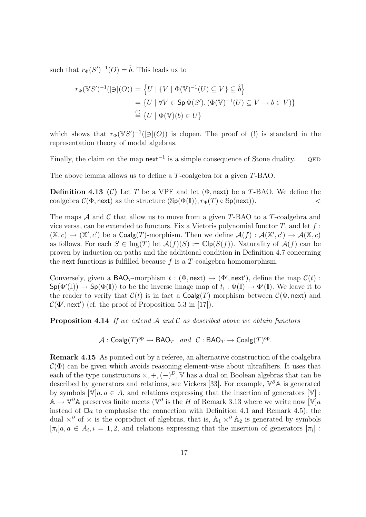such that  $r_{\Phi}(S')^{-1}(O) = \hat{b}$ . This leads us to

$$
r_{\Phi}(\mathbb{V}S')^{-1}([\exists](O)) = \left\{ U \mid \{V \mid \Phi(\mathbb{V})^{-1}(U) \subseteq V\} \subseteq \hat{b} \right\}
$$

$$
= \left\{ U \mid \forall V \in \mathsf{Sp}\,\Phi(S').\,(\Phi(\mathbb{V})^{-1}(U) \subseteq V \to b \in V) \right\}
$$

$$
\stackrel{\text{(1)}}{=} \left\{ U \mid \Phi(\mathbb{V})(b) \in U \right\}
$$

which shows that  $r_{\Phi}(\mathbb{V}S')^{-1}([\exists](O))$  is clopen. The proof of (!) is standard in the representation theory of modal algebras.

Finally, the claim on the map next<sup>-1</sup> is a simple consequence of Stone duality.  $QED$ 

The above lemma allows us to define a T-coalgebra for a given T-BAO.

**Definition 4.13 (C)** Let T be a VPF and let  $(\Phi, \text{next})$  be a T-BAO. We define the coalgebra  $\mathcal{C}(\Phi, \text{next})$  as the structure  $(\text{Sp}(\Phi(\mathbb{I})), r_{\Phi}(T) \circ \text{Sp}(\text{next})).$ 

The maps  $\mathcal A$  and  $\mathcal C$  that allow us to move from a given T-BAO to a T-coalgebra and vice versa, can be extended to functors. Fix a Vietoris polynomial functor  $T$ , and let  $f$ :  $(\mathbb{X}, c) \to (\mathbb{X}', c')$  be a Coalg(T)-morphism. Then we define  $\mathcal{A}(f) : \mathcal{A}(\mathbb{X}', c') \to \mathcal{A}(\mathbb{X}, c)$ as follows. For each  $S \in \text{Ing}(T)$  let  $\mathcal{A}(f)(S) := \mathbb{C}[\textbf{p}(S(f))]$ . Naturality of  $\mathcal{A}(f)$  can be proven by induction on paths and the additional condition in Definition 4.7 concerning the next functions is fulfilled because  $f$  is a  $T$ -coalgebra homomorphism.

Conversely, given a BAO<sub>T</sub>-morphism  $t : (\Phi, \text{next}) \to (\Phi', \text{next}')$ , define the map  $\mathcal{C}(t)$ :  $\mathsf{Sp}(\Phi'(\mathbb{I})) \to \mathsf{Sp}(\Phi(\mathbb{I}))$  to be the inverse image map of  $t_{\mathbb{I}} : \Phi(\mathbb{I}) \to \Phi'(\mathbb{I})$ . We leave it to the reader to verify that  $C(t)$  is in fact a Coalg(T) morphism between  $C(\Phi, \text{next})$  and  $\mathcal{C}(\Phi', \mathsf{next}')$  (cf. the proof of Proposition 5.3 in [17]).

**Proposition 4.14** If we extend  $A$  and  $C$  as described above we obtain functors

 $\mathcal{A}:\mathsf{Coalg}(T)^{\mathrm{op}}\to \mathsf{BAO}_T\ \ \textit{and}\ \ \mathcal{C}:\mathsf{BAO}_T\to \mathsf{Coalg}(T)^{\mathrm{op}}.$ 

Remark 4.15 As pointed out by a referee, an alternative construction of the coalgebra  $\mathcal{C}(\Phi)$  can be given which avoids reasoning element-wise about ultrafilters. It uses that each of the type constructors  $\times, +, (-)^D$ , V has a dual on Boolean algebras that can be described by generators and relations, see Vickers [33]. For example,  $\nabla^{\partial} \mathbb{A}$  is generated by symbols  $[\mathbb{V}]a, a \in A$ , and relations expressing that the insertion of generators  $[\mathbb{V}]$ :  $\mathbb{A} \to \mathbb{V}^{\partial}$  a preserves finite meets ( $\mathbb{V}^{\partial}$  is the H of Remark 3.13 where we write now  $[\mathbb{V}]a$ instead of  $\Box a$  to emphasise the connection with Definition 4.1 and Remark 4.5); the dual  $\times$ <sup>∂</sup> of  $\times$  is the coproduct of algebras, that is, A<sub>1</sub>  $\times$ <sup>∂</sup> A<sub>2</sub> is generated by symbols  $[\pi_i]a, a \in A_i, i = 1, 2$ , and relations expressing that the insertion of generators  $[\pi_i]$ :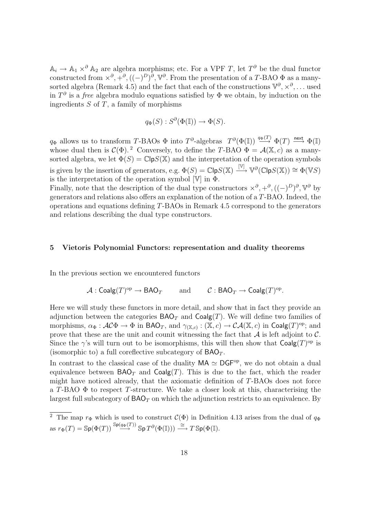$\mathbb{A}_i \to \mathbb{A}_1 \times^{\partial} \mathbb{A}_2$  are algebra morphisms; etc. For a VPF T, let  $T^{\partial}$  be the dual functor constructed from  $\times^{\partial}$ ,  $+^{\partial}$ ,  $((-)^{D})^{\partial}$ ,  $\nabla^{\partial}$ . From the presentation of a T-BAO  $\Phi$  as a manysorted algebra (Remark 4.5) and the fact that each of the constructions  $\mathbb{V}^{\partial}, \times^{\partial}, \dots$  used in  $T^{\partial}$  is a *free* algebra modulo equations satisfied by  $\Phi$  we obtain, by induction on the ingredients  $S$  of  $T$ , a family of morphisms

$$
q_{\Phi}(S) : S^{\partial}(\Phi(\mathbb{I})) \to \Phi(S).
$$

 $q_{\Phi}$  allows us to transform T-BAOs  $\Phi$  into  $T^{\partial}$ -algebras  $T^{\partial}(\Phi(\mathbb{I})) \stackrel{q_{\Phi}(T)}{\longrightarrow} \Phi(T) \stackrel{\text{next}}{\longrightarrow} \Phi(\mathbb{I})$ whose dual then is  $C(\Phi)$ .<sup>2</sup> Conversely, to define the T-BAO  $\Phi = \mathcal{A}(\mathbb{X}, c)$  as a manysorted algebra, we let  $\Phi(S) = \mathbb{C} \mathsf{lp}\mathsf{S}(\mathbb{X})$  and the interpretation of the operation symbols is given by the insertion of generators, e.g.  $\Phi(S) = \mathbb{C} \mathsf{lp}\mathsf{S}(\mathbb{X}) \stackrel{[\mathbb{V}]}{\longrightarrow} \mathbb{V}^{\partial}(\mathbb{C} \mathsf{lp}\mathsf{S}(\mathbb{X})) \cong \Phi(\mathbb{V}\mathsf{S})$ is the interpretation of the operation symbol  $[\mathbb{V}]$  in  $\Phi$ .

Finally, note that the description of the dual type constructors  $\times^{\partial}$ ,  $+^{\partial}$ ,  $((-)^{D})^{\partial}$ ,  $\mathbb{V}^{\partial}$  by generators and relations also offers an explanation of the notion of a T-BAO. Indeed, the operations and equations defining T-BAOs in Remark 4.5 correspond to the generators and relations describing the dual type constructors.

#### 5 Vietoris Polynomial Functors: representation and duality theorems

In the previous section we encountered functors

$$
\mathcal{A} : \mathsf{Coalg}(T)^{op} \to \mathsf{BAO}_T \quad \text{and} \quad \mathcal{C} : \mathsf{BAO}_T \to \mathsf{Coalg}(T)^{op}.
$$

Here we will study these functors in more detail, and show that in fact they provide an adjunction between the categories  $\mathsf{BAO}_T$  and  $\mathsf{Coalg}(T)$ . We will define two families of morphisms,  $\alpha_{\Phi}: \mathcal{AC}\Phi \to \Phi$  in BAO<sub>T</sub>, and  $\gamma_{(\mathbb{X},c)}: (\mathbb{X},c) \to \mathcal{CA}(\mathbb{X},c)$  in Coalg $(T)^{\rm op}$ ; and prove that these are the unit and counit witnessing the fact that  $A$  is left adjoint to  $C$ . Since the  $\gamma$ 's will turn out to be isomorphisms, this will then show that  $Coalg(T)^{op}$  is (isomorphic to) a full coreflective subcategory of  $BAO<sub>T</sub>$ .

In contrast to the classical case of the duality  $MA \simeq DGF^{op}$ , we do not obtain a dual equivalence between  $\mathsf{BAO}_T$  and  $\mathsf{Coalg}(T)$ . This is due to the fact, which the reader might have noticed already, that the axiomatic definition of T-BAOs does not force a T-BAO  $\Phi$  to respect T-structure. We take a closer look at this, characterising the largest full subcategory of  $BAO<sub>T</sub>$  on which the adjunction restricts to an equivalence. By

<sup>&</sup>lt;sup>2</sup> The map  $r_{\Phi}$  which is used to construct  $\mathcal{C}(\Phi)$  in Definition 4.13 arises from the dual of  $q_{\Phi}$ as  $r_{\Phi}(T) = \mathbb{S}p(\Phi(T)) \stackrel{\mathbb{S}p(q_{\Phi}(T))}{\longrightarrow} \mathbb{S}p T^{\partial}(\Phi(\mathbb{I}))) \stackrel{\cong}{\longrightarrow} T \mathbb{S}p(\Phi(\mathbb{I}).$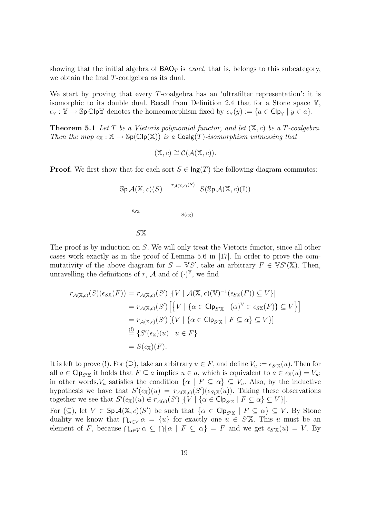showing that the initial algebra of  $BAO<sub>T</sub>$  is exact, that is, belongs to this subcategory, we obtain the final T-coalgebra as its dual.

We start by proving that every  $T$ -coalgebra has an 'ultrafilter representation': it is isomorphic to its double dual. Recall from Definition 2.4 that for a Stone space  $\mathbb{Y}$ ,  $\epsilon_{\mathbb{Y}} : \mathbb{Y} \to \mathbb{S}$ p Clp $\mathbb{Y}$  denotes the homeomorphism fixed by  $\epsilon_{\mathbb{Y}}(y) := \{a \in \mathbb{C} | \mathfrak{p}_{\mathbb{Y}} \mid y \in a \}.$ 

**Theorem 5.1** Let T be a Vietoris polynomial functor, and let  $(X, c)$  be a T-coalgebra. Then the map  $\epsilon_{\mathbb{X}} : \mathbb{X} \to \mathbb{S}p(\mathbb{C}ip(\mathbb{X}))$  is a Coalg(T)-isomorphism witnessing that

$$
(\mathbb{X},c) \cong \mathcal{C}(\mathcal{A}(\mathbb{X},c)).
$$

**Proof.** We first show that for each sort  $S \in \text{Ing}(T)$  the following diagram commutes:

$$
\mathbb{S}\mathsf{p}\,\mathcal{A}(\mathbb{X},c)(S) \xrightarrow{r_{\mathcal{A}(\mathbb{X},c)}(S)} S(\mathbb{S}\mathsf{p}\,\mathcal{A}(\mathbb{X},c)(\mathbb{I}))
$$

$$
\xrightarrow[\epsilon_{S\mathbb{X}} S(\epsilon_{\mathbb{X}})]
$$

$$
S\mathbb{X}
$$

The proof is by induction on S. We will only treat the Vietoris functor, since all other cases work exactly as in the proof of Lemma 5.6 in [17]. In order to prove the commutativity of the above diagram for  $S = \mathbb{V}S'$ , take an arbitrary  $F \in \mathbb{V}S'(\mathbb{X})$ . Then, unravelling the definitions of r, A and of  $(\cdot)^{\mathbb{V}}$ , we find

$$
r_{\mathcal{A}(\mathbb{X},c)}(S)(\epsilon_{S\mathbb{X}}(F)) = r_{\mathcal{A}(\mathbb{X},c)}(S') \left[ \{ V \mid \mathcal{A}(\mathbb{X},c)(\mathbb{V})^{-1}(\epsilon_{S\mathbb{X}}(F)) \subseteq V \} \right]
$$
  
\n
$$
= r_{\mathcal{A}(\mathbb{X},c)}(S') \left[ \{ V \mid \{ \alpha \in \mathsf{Clp}_{S'\mathbb{X}} \mid (\alpha)^{\mathbb{V}} \in \epsilon_{S\mathbb{X}}(F) \} \subseteq V \} \right]
$$
  
\n
$$
= r_{\mathcal{A}(\mathbb{X},c)}(S') \left[ \{ V \mid \{ \alpha \in \mathsf{Clp}_{S'\mathbb{X}} \mid F \subseteq \alpha \} \subseteq V \} \right]
$$
  
\n
$$
\stackrel{\text{(1)}{=} } \{ S'(\epsilon_{\mathbb{X}})(u) \mid u \in F \}
$$
  
\n
$$
= S(\epsilon_{\mathbb{X}})(F).
$$

It is left to prove (!). For  $(2)$ , take an arbitrary  $u \in F$ , and define  $V_u := \epsilon_{S'X}(u)$ . Then for all  $a \in \text{Clp}_{S'X}$  it holds that  $F \subseteq a$  implies  $u \in a$ , which is equivalent to  $a \in \epsilon_X(u) = V_u$ ; in other words, $V_u$  satisfies the condition  $\{\alpha \mid F \subseteq \alpha\} \subseteq V_u$ . Also, by the inductive hypothesis we have that  $S'(\epsilon_{\mathbb{X}})(u) = r_{\mathcal{A}(\mathbb{X},c)}(S')(\epsilon_{S_1\mathbb{X}}(u))$ . Taking these observations together we see that  $S'(\epsilon_{\mathbb{X}})(u) \in r_{\mathcal{A}(c)}(S')$   $[\{V \mid {\alpha \in \mathsf{Clp}}_{S'\mathbb{X}} \mid F \subseteq \alpha\} \subseteq V]$ .

For  $(\subseteq)$ , let  $V \in Sp\mathcal{A}(\mathbb{X},c)(S')$  be such that  $\{\alpha \in \mathsf{Clp}_{S'\mathbb{X}} \mid F \subseteq \alpha\} \subseteq V$ . By Stone duality we know that  $\bigcap_{\alpha\in V}\alpha = \{u\}$  for exactly one  $u \in S'$ . This u must be an element of F, because  $\bigcap_{\alpha \in V} \alpha \subseteq \bigcap \{\alpha \mid F \subseteq \alpha\} = F$  and we get  $\epsilon_{S'X}(u) = V$ . By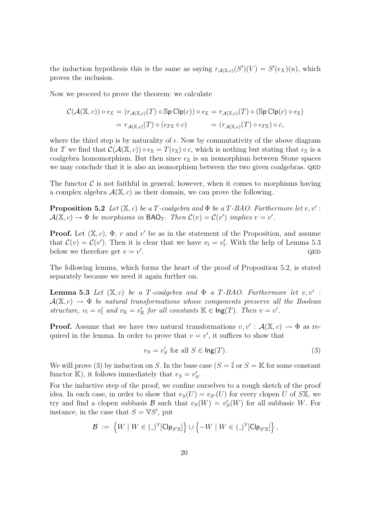the induction hypothesis this is the same as saying  $r_{\mathcal{A}(\mathbb{X},c)}(S')(V) = S'(\epsilon_X)(u)$ , which proves the inclusion.

Now we proceed to prove the theorem: we calculate

$$
\mathcal{C}(\mathcal{A}(\mathbb{X},c)) \circ \epsilon_{\mathbb{X}} = (r_{\mathcal{A}(\mathbb{X},c)}(T) \circ \mathbb{S} \mathsf{p} \mathbb{C} \mathsf{lp}(c)) \circ \epsilon_{\mathbb{X}} = r_{\mathcal{A}(\mathbb{X},c)}(T) \circ (\mathbb{S} \mathsf{p} \mathbb{C} \mathsf{lp}(c) \circ \epsilon_{\mathbb{X}})
$$
  
=  $r_{\mathcal{A}(\mathbb{X},c)}(T) \circ (\epsilon_{T\mathbb{X}} \circ c) = (r_{\mathcal{A}(\mathbb{X},c)}(T) \circ \epsilon_{T\mathbb{X}}) \circ c,$ 

where the third step is by naturality of  $\epsilon$ . Now by commutativity of the above diagram for T we find that  $\mathcal{C}(\mathcal{A}(\mathbb{X},c)) \circ \epsilon_{\mathbb{X}} = T(\epsilon_{\mathbb{X}}) \circ c$ , which is nothing but stating that  $\epsilon_{\mathbb{X}}$  is a coalgebra homomorphism. But then since  $\epsilon_{\mathbb{X}}$  is an isomorphism between Stone spaces we may conclude that it is also an isomorphism between the two given coalgebras. QED

The functor  $\mathcal C$  is not faithful in general; however, when it comes to morphisms having a complex algebra  $\mathcal{A}(\mathbb{X}, c)$  as their domain, we can prove the following.

**Proposition 5.2** Let  $(X, c)$  be a T-coalgebra and  $\Phi$  be a T-BAO. Furthermore let  $v, v'$ :  $\mathcal{A}(\mathbb{X}, c) \to \Phi$  be morphisms in BAO<sub>T</sub>. Then  $\mathcal{C}(v) = \mathcal{C}(v')$  implies  $v = v'$ .

**Proof.** Let  $(\mathbb{X}, c)$ ,  $\Phi$ ,  $v$  and  $v'$  be as in the statement of the Proposition, and assume that  $\mathcal{C}(v) = \mathcal{C}(v')$ . Then it is clear that we have  $v_{\mathbb{I}} = v'_{\mathbb{I}}$ . With the help of Lemma 5.3 below we therefore get  $v = v'$ . <br>  $\begin{aligned} \text{QED} \end{aligned}$ 

The following lemma, which forms the heart of the proof of Proposition 5.2, is stated separately because we need it again further on.

**Lemma 5.3** Let  $(X, c)$  be a T-coalgebra and  $\Phi$  a T-BAO. Furthermore let  $v, v'$ :  $A(X, c) \rightarrow \Phi$  be natural transformations whose components preserve all the Boolean structure,  $v_{\mathbb{I}} = v_{\mathbb{I}}'$  and  $v_{\mathbb{K}} = v_{\mathbb{K}}'$  for all constants  $\mathbb{K} \in \text{Ing}(T)$ . Then  $v = v'$ .

**Proof.** Assume that we have two natural transformations  $v, v' : \mathcal{A}(\mathbb{X}, c) \to \Phi$  as required in the lemma. In order to prove that  $v = v'$ , it suffices to show that

$$
v_S = v_S' \text{ for all } S \in \text{Ing}(T). \tag{3}
$$

We will prove (3) by induction on S. In the base case ( $S = \mathbb{I}$  or  $S = \mathbb{K}$  for some constant functor K), it follows immediately that  $v_s = v'_s$ .

For the inductive step of the proof, we confine ourselves to a rough sketch of the proof idea. In each case, in order to show that  $v_S(U) = v_{S'}(U)$  for every clopen U of SX, we try and find a clopen subbasis  $\mathcal B$  such that  $v_S(W) = v'_S(W)$  for all subbasic W. For instance, in the case that  $S = \mathbb{V}S'$ , put

$$
\mathcal{B} \; := \; \left\{ W \mid W \in \left( \begin{smallmatrix} \_ & \end{smallmatrix} \right)^{\mathbb{V}} \left[ \mathsf{Clp}_{S' \mathbb{X}} \right] \right\} \cup \left\{ -W \mid W \in \left( \_ \right)^{\mathbb{V}} \left[ \mathsf{Clp}_{S' \mathbb{X}} \right] \right\},
$$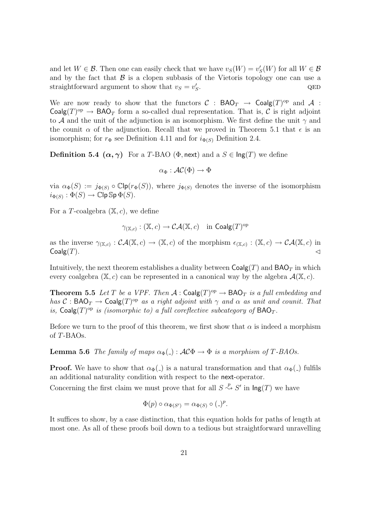and let  $W \in \mathcal{B}$ . Then one can easily check that we have  $v_s(W) = v'_s(W)$  for all  $W \in \mathcal{B}$ and by the fact that  $\beta$  is a clopen subbasis of the Vietoris topology one can use a straightforward argument to show that  $v_s = v'_s$ . <br>  $\begin{aligned} \textbf{QED} \end{aligned}$ 

We are now ready to show that the functors  $C : BAO_T \to Coalg(T)^{op}$  and A : Coalg $(T)$ <sup>op</sup>  $\rightarrow$  BAO<sub>T</sub> form a so-called dual representation. That is, C is right adjoint to A and the unit of the adjunction is an isomorphism. We first define the unit  $\gamma$  and the counit  $\alpha$  of the adjunction. Recall that we proved in Theorem 5.1 that  $\epsilon$  is an isomorphism; for  $r_{\Phi}$  see Definition 4.11 and for  $i_{\Phi(S)}$  Definition 2.4.

**Definition 5.4**  $(\alpha, \gamma)$  For a T-BAO ( $\Phi$ , next) and a  $S \in \text{Ing}(T)$  we define

$$
\alpha_\Phi:\mathcal{AC}(\Phi)\to\Phi
$$

via  $\alpha_{\Phi}(S) := j_{\Phi(S)} \circ \mathbb{C}[\mathsf{p}(r_{\Phi}(S)),$  where  $j_{\Phi(S)}$  denotes the inverse of the isomorphism  $i_{\Phi(S)}: \Phi(S) \to \mathbb{C}\mathsf{ip} \, \mathbb{S}\mathsf{p} \, \Phi(S).$ 

For a T-coalgebra  $(\mathbb{X}, c)$ , we define

$$
\gamma_{(\mathbb{X},c)} : (\mathbb{X},c) \to \mathcal{CA}(\mathbb{X},c) \quad \text{in } \mathsf{Coalg}(T)^{\mathrm{op}}
$$

as the inverse  $\gamma_{(\mathbb{X},c)} : \mathcal{CA}(\mathbb{X},c) \to (\mathbb{X},c)$  of the morphism  $\epsilon_{(\mathbb{X},c)} : (\mathbb{X},c) \to \mathcal{CA}(\mathbb{X},c)$  in  $Coalg(T)$ .

Intuitively, the next theorem establishes a duality between  $\text{Coalg}(T)$  and  $\text{BAO}_T$  in which every coalgebra  $(X, c)$  can be represented in a canonical way by the algebra  $\mathcal{A}(X, c)$ .

**Theorem 5.5** Let T be a VPF. Then  $\mathcal{A}$  : Coalg(T)<sup>op</sup>  $\rightarrow$  BAO<sub>T</sub> is a full embedding and has  $C : \text{BAO}_T \to \text{Coalg}(T)^\text{op}$  as a right adjoint with  $\gamma$  and  $\alpha$  as unit and counit. That is,  $\mathsf{Coalg}(T)^\text{op}$  is (isomorphic to) a full coreflective subcategory of  $\mathsf{BAO}_T$ .

Before we turn to the proof of this theorem, we first show that  $\alpha$  is indeed a morphism of T-BAOs.

**Lemma 5.6** The family of maps  $\alpha_{\Phi}(\cdot) : \mathcal{AC}\Phi \to \Phi$  is a morphism of T-BAOs.

**Proof.** We have to show that  $\alpha_{\Phi}(\cdot)$  is a natural transformation and that  $\alpha_{\Phi}(\cdot)$  fulfils an additional naturality condition with respect to the next-operator.

Concerning the first claim we must prove that for all  $S \stackrel{p}{\rightsquigarrow} S'$  in  $\text{Ing}(T)$  we have

$$
\Phi(p) \circ \alpha_{\Phi(S')} = \alpha_{\Phi(S)} \circ (\_)^p.
$$

It suffices to show, by a case distinction, that this equation holds for paths of length at most one. As all of these proofs boil down to a tedious but straightforward unravelling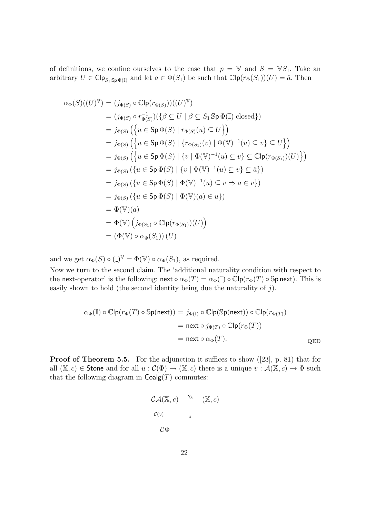of definitions, we confine ourselves to the case that  $p = V$  and  $S = VS_1$ . Take an arbitrary  $U \in \text{Clp}_{S_1 \text{Sp } \Phi(\mathbb{I})}$  and let  $a \in \Phi(S_1)$  be such that  $\mathbb{C}\text{lp}(r_{\Phi}(S_1))(U) = \hat{a}$ . Then

$$
\alpha_{\Phi}(S)((U)^{\mathbb{V}}) = (j_{\Phi(S)} \circ \mathbb{C}[\mathbf{p}(r_{\Phi(S)}))((U)^{\mathbb{V}})
$$
  
\n
$$
= (j_{\Phi(S)} \circ r_{\Phi(S)}^{-1})(\{\beta \subseteq U \mid \beta \subseteq S_1 \text{Sp } \Phi(\mathbb{I}) \text{ closed}\})
$$
  
\n
$$
= j_{\Phi(S)} (\{u \in \text{Sp } \Phi(S) \mid r_{\Phi(S)}(u) \subseteq U\})
$$
  
\n
$$
= j_{\Phi(S)} (\{u \in \text{Sp } \Phi(S) \mid \{r_{\Phi(S_1)}(v) \mid \Phi(\mathbb{V})^{-1}(u) \subseteq v\} \subseteq U\})
$$
  
\n
$$
= j_{\Phi(S)} (\{u \in \text{Sp } \Phi(S) \mid \{v \mid \Phi(\mathbb{V})^{-1}(u) \subseteq v\} \subseteq \text{Clp}(r_{\Phi(S_1)})(U)\})
$$
  
\n
$$
= j_{\Phi(S)} (\{u \in \text{Sp } \Phi(S) \mid \{v \mid \Phi(\mathbb{V})^{-1}(u) \subseteq v\} \subseteq \hat{a}\})
$$
  
\n
$$
= j_{\Phi(S)} (\{u \in \text{Sp } \Phi(S) \mid \Phi(\mathbb{V})^{-1}(u) \subseteq v \Rightarrow a \in v\})
$$
  
\n
$$
= j_{\Phi(S)} (\{u \in \text{Sp } \Phi(S) \mid \Phi(\mathbb{V})(a) \in u\})
$$
  
\n
$$
= \Phi(\mathbb{V})(a)
$$
  
\n
$$
= \Phi(\mathbb{V})(j_{\Phi(S_1)} \circ \text{Clp}(r_{\Phi(S_1)})(U))
$$
  
\n
$$
= (\Phi(\mathbb{V}) \circ \alpha_{\Phi}(S_1)) (U)
$$

and we get  $\alpha_{\Phi}(S) \circ (.)^{\mathbb{V}} = \Phi(\mathbb{V}) \circ \alpha_{\Phi}(S_1)$ , as required.

Now we turn to the second claim. The 'additional naturality condition with respect to the next-operator' is the following: next  $\circ \alpha_{\Phi}(T) = \alpha_{\Phi}(\mathbb{I}) \circ \mathbb{C}[\mathsf{p}(r_{\Phi}(T) \circ \mathbb{S} \mathsf{p} \text{ next})$ . This is easily shown to hold (the second identity being due the naturality of  $j$ ).

$$
\alpha_{\Phi}(\mathbb{I}) \circ \mathbb{C} \mathsf{lp}(r_{\Phi}(T) \circ \mathbb{S} \mathsf{p}(\mathsf{next})) = j_{\Phi(\mathbb{I})} \circ \mathbb{C} \mathsf{lp}(\mathbb{S} \mathsf{p}(\mathsf{next})) \circ \mathbb{C} \mathsf{lp}(r_{\Phi(T)})
$$

$$
= \mathsf{next} \circ j_{\Phi(T)} \circ \mathbb{C} \mathsf{lp}(r_{\Phi}(T))
$$

$$
= \mathsf{next} \circ \alpha_{\Phi}(T).
$$
QED

Proof of Theorem 5.5. For the adjunction it suffices to show ([23], p. 81) that for all  $(\mathbb{X}, c) \in$  Stone and for all  $u : \mathcal{C}(\Phi) \to (\mathbb{X}, c)$  there is a unique  $v : \mathcal{A}(\mathbb{X}, c) \to \Phi$  such that the following diagram in  $Coalg(T)$  commutes:

$$
CA(\mathbb{X}, c) \quad \begin{array}{c} \gamma_{\mathbb{X}} \\ \uparrow & \\ \mathcal{C}(v) \\ \mathcal{C} \Phi \end{array} \quad (\mathbb{X}, c)
$$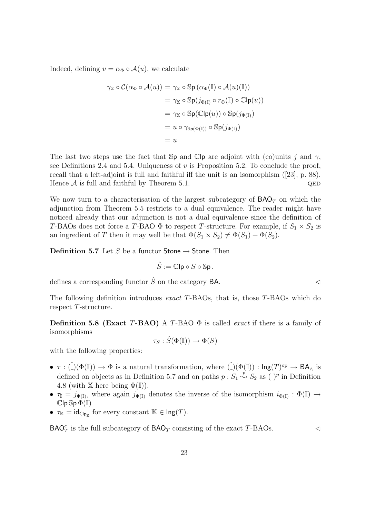Indeed, defining  $v = \alpha_{\Phi} \circ \mathcal{A}(u)$ , we calculate

$$
\gamma_{\mathbb{X}} \circ \mathcal{C}(\alpha_{\Phi} \circ \mathcal{A}(u)) = \gamma_{\mathbb{X}} \circ \mathbb{S} \mathsf{p} (\alpha_{\Phi}(\mathbb{I}) \circ \mathcal{A}(u)(\mathbb{I}))
$$
  
\n
$$
= \gamma_{\mathbb{X}} \circ \mathbb{S} \mathsf{p}(j_{\Phi(\mathbb{I})} \circ r_{\Phi}(\mathbb{I}) \circ \mathbb{C} \mathsf{lp}(u))
$$
  
\n
$$
= \gamma_{\mathbb{X}} \circ \mathbb{S} \mathsf{p}(\mathbb{C} \mathsf{lp}(u)) \circ \mathbb{S} \mathsf{p}(j_{\Phi(\mathbb{I})})
$$
  
\n
$$
= u \circ \gamma_{\mathbb{S} \mathsf{p}(\Phi(\mathbb{I}))} \circ \mathbb{S} \mathsf{p}(j_{\Phi(\mathbb{I})})
$$
  
\n
$$
= u
$$

The last two steps use the fact that  $\mathbb{S}_p$  and  $\mathbb{C}_p$  are adjoint with (co)units j and  $\gamma$ , see Definitions 2.4 and 5.4. Uniqueness of  $v$  is Proposition 5.2. To conclude the proof, recall that a left-adjoint is full and faithful iff the unit is an isomorphism ([23], p. 88). Hence  $A$  is full and faithful by Theorem 5.1.  $QED$ 

We now turn to a characterisation of the largest subcategory of  $BAO<sub>T</sub>$  on which the adjunction from Theorem 5.5 restricts to a dual equivalence. The reader might have noticed already that our adjunction is not a dual equivalence since the definition of T-BAOs does not force a T-BAO  $\Phi$  to respect T-structure. For example, if  $S_1 \times S_2$  is an ingredient of T then it may well be that  $\Phi(S_1 \times S_2) \neq \Phi(S_1) + \Phi(S_2)$ .

**Definition 5.7** Let S be a functor **Stone**  $\rightarrow$  **Stone**. Then

$$
\hat{S}:=\mathbb{C}\mathsf{lp}\circ S\circ\mathbb{S}\mathsf{p}\,.
$$

defines a corresponding functor  $\hat{S}$  on the category BA.

The following definition introduces exact T-BAOs, that is, those T-BAOs which do respect T-structure.

Definition 5.8 (Exact T-BAO) A T-BAO  $\Phi$  is called *exact* if there is a family of isomorphisms

 $\tau_S : \hat{S}(\Phi(\mathbb{I})) \to \Phi(S)$ 

with the following properties:

- $\tau : (\hat{C})(\Phi(\mathbb{I})) \to \Phi$  is a natural transformation, where  $(\hat{C})(\Phi(\mathbb{I})) : \text{Ing}(T)^{\text{op}} \to \text{BA}_{\wedge}$  is defined on objects as in Definition 5.7 and on paths  $p : S_1 \stackrel{p}{\leftrightarrow} S_2$  as  $(.)^p$  in Definition 4.8 (with  $X$  here being  $\Phi(\mathbb{I})$ ).
- $\tau_{\mathbb{I}} = j_{\Phi(\mathbb{I})}$ , where again  $j_{\Phi(\mathbb{I})}$  denotes the inverse of the isomorphism  $i_{\Phi(\mathbb{I})} : \Phi(\mathbb{I}) \to$  $\mathbb{C}$ lp  $\mathbb{S}$ p  $\Phi(\mathbb{I})$
- $\tau_{\mathbb{K}} = \text{id}_{\text{Clp}_{\mathbb{K}}}$  for every constant  $\mathbb{K} \in \text{Ing}(T)$ .

 $\mathsf{BAO}_{T}^{e}$  is the full subcategory of  $\mathsf{BAO}_{T}$  consisting of the exact T-BAOs.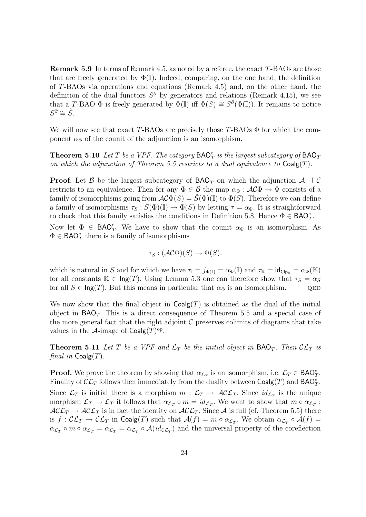**Remark 5.9** In terms of Remark 4.5, as noted by a referee, the exact  $T$ -BAOs are those that are freely generated by  $\Phi(I)$ . Indeed, comparing, on the one hand, the definition of T-BAOs via operations and equations (Remark 4.5) and, on the other hand, the definition of the dual functors  $S^{\partial}$  by generators and relations (Remark 4.15), we see that a T-BAO  $\Phi$  is freely generated by  $\Phi(\mathbb{I})$  iff  $\Phi(S) \cong S^{\partial}(\Phi(\mathbb{I}))$ . It remains to notice  $S^{\partial} \cong \hat{S}$ .

We will now see that exact T-BAOs are precisely those  $T$ -BAOs  $\Phi$  for which the component  $\alpha_{\Phi}$  of the counit of the adjunction is an isomorphism.

**Theorem 5.10** Let T be a VPF. The category  $\mathsf{BAO}_T^e$  is the largest subcategory of  $\mathsf{BAO}_T$ on which the adjunction of Theorem 5.5 restricts to a dual equivalence to  $Coalg(T)$ .

**Proof.** Let B be the largest subcategory of  $BAO<sub>T</sub>$  on which the adjunction  $A \dashv C$ restricts to an equivalence. Then for any  $\Phi \in \mathcal{B}$  the map  $\alpha_{\Phi}: \mathcal{AC}\Phi \to \Phi$  consists of a family of isomorphisms going from  $\mathcal{AC}\Phi(S) = \hat{S}(\Phi)(\mathbb{I})$  to  $\Phi(S)$ . Therefore we can define a family of isomorphisms  $\tau_S : \tilde{S}(\Phi)(\mathbb{I}) \to \Phi(S)$  by letting  $\tau = \alpha_{\Phi}$ . It is straightforward to check that this family satisfies the conditions in Definition 5.8. Hence  $\Phi \in \mathsf{BAO}_T^e$ .

Now let  $\Phi \in \text{BAO}_{T}^{e}$ . We have to show that the counit  $\alpha_{\Phi}$  is an isomorphism. As  $\Phi \in \mathsf{BAO}_{T}^e$  there is a family of isomorphisms

$$
\tau_S: (\mathcal{AC}\Phi)(S) \to \Phi(S).
$$

which is natural in S and for which we have  $\tau_{\mathbb{I}} = j_{\Phi(\mathbb{I})} = \alpha_{\Phi}(\mathbb{I})$  and  $\tau_{\mathbb{K}} = id_{\mathsf{Cip}_{\mathbb{K}}} = \alpha_{\Phi}(\mathbb{K})$ for all constants  $\mathbb{K} \in \text{Ing}(T)$ . Using Lemma 5.3 one can therefore show that  $\tau_s = \alpha_s$ for all  $S \in \text{Ing}(T)$ . But this means in particular that  $\alpha_{\Phi}$  is an isomorphism. QED

We now show that the final object in  $Coalg(T)$  is obtained as the dual of the initial object in  $BAO_T$ . This is a direct consequence of Theorem 5.5 and a special case of the more general fact that the right adjoint  $C$  preserves colimits of diagrams that take values in the A-image of  $Coalg(T)^{op}$ .

**Theorem 5.11** Let T be a VPF and  $\mathcal{L}_T$  be the initial object in  $\mathsf{BAO}_T$ . Then  $\mathcal{CL}_T$  is final in  $Coalg(T)$ .

**Proof.** We prove the theorem by showing that  $\alpha_{\mathcal{L}_T}$  is an isomorphism, i.e.  $\mathcal{L}_T \in \mathsf{BAO}_T^e$ . Finality of  $\mathcal{CL}_T$  follows then immediately from the duality between  $\mathsf{Coalg}(T)$  and  $\mathsf{BAO}_T^e$ .

Since  $\mathcal{L}_T$  is initial there is a morphism  $m: \mathcal{L}_T \to \mathcal{ALL}_T$ . Since  $id_{\mathcal{L}_T}$  is the unique morphism  $\mathcal{L}_T \to \mathcal{L}_T$  it follows that  $\alpha_{\mathcal{L}_T} \circ m = id_{\mathcal{L}_T}$ . We want to show that  $m \circ \alpha_{\mathcal{L}_T}$ :  $\mathcal{ALL}_T \to \mathcal{ALL}_T$  is in fact the identity on  $\mathcal{ALL}_T$ . Since A is full (cf. Theorem 5.5) there is  $f: \mathcal{CL}_T \to \mathcal{CL}_T$  in  $\mathsf{Coalg}(T)$  such that  $\mathcal{A}(f) = m \circ \alpha_{\mathcal{L}_T}$ . We obtain  $\alpha_{\mathcal{L}_T} \circ \mathcal{A}(f) =$  $\alpha_{\mathcal{L}_T} \circ m \circ \alpha_{\mathcal{L}_T} = \alpha_{\mathcal{L}_T} \circ \mathcal{A}(id_{\mathcal{CL}_T})$  and the universal property of the coreflection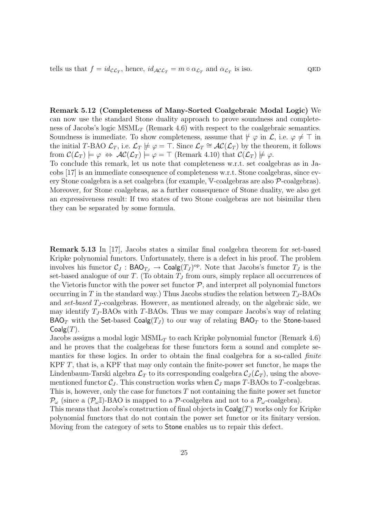tells us that  $f = id_{\mathcal{CL}_T}$ , hence,  $id_{\mathcal{AL}_T} = m \circ \alpha_{\mathcal{L}_T}$  and  $\alpha_{\mathcal{L}_T}$  is iso. QED

Remark 5.12 (Completeness of Many-Sorted Coalgebraic Modal Logic) We can now use the standard Stone duality approach to prove soundness and completeness of Jacobs's logic  $MSML_T$  (Remark 4.6) with respect to the coalgebraic semantics. Soundness is immediate. To show completeness, assume that  $\not\vdash \varphi$  in  $\mathcal{L}$ , i.e.  $\varphi \neq \top$  in the initial T-BAO  $\mathcal{L}_T$ , i.e.  $\mathcal{L}_T \not\models \varphi = \top$ . Since  $\mathcal{L}_T \cong \mathcal{AC}(\mathcal{L}_T)$  by the theorem, it follows from  $\mathcal{C}(\mathcal{L}_T) \models \varphi \Leftrightarrow \mathcal{AC}(\mathcal{L}_T) \models \varphi = \top$  (Remark 4.10) that  $\mathcal{C}(\mathcal{L}_T) \not\models \varphi$ .

To conclude this remark, let us note that completeness w.r.t. set coalgebras as in Jacobs [17] is an immediate consequence of completeness w.r.t. Stone coalgebras, since every Stone coalgebra is a set coalgebra (for example, V-coalgebras are also P-coalgebras). Moreover, for Stone coalgebras, as a further consequence of Stone duality, we also get an expressiveness result: If two states of two Stone coalgebras are not bisimilar then they can be separated by some formula.

Remark 5.13 In [17], Jacobs states a similar final coalgebra theorem for set-based Kripke polynomial functors. Unfortunately, there is a defect in his proof. The problem involves his functor  $C_J : \mathsf{BAO}_{T_J} \to \mathsf{Coalg}(T_J)^{\mathrm{op}}$ . Note that Jacobs's functor  $T_J$  is the set-based analogue of our T. (To obtain  $T<sub>J</sub>$  from ours, simply replace all occurrences of the Vietoris functor with the power set functor  $P$ , and interpret all polynomial functors occurring in T in the standard way.) Thus Jacobs studies the relation between  $T_J$ -BAOs and set-based  $T_J$ -coalgebras. However, as mentioned already, on the algebraic side, we may identify  $T_J$ -BAOs with T-BAOs. Thus we may compare Jacobs's way of relating  $\mathsf{BAO}_T$  with the Set-based  $\mathsf{Coalg}(T_J)$  to our way of relating  $\mathsf{BAO}_T$  to the Stone-based  $Coalg(T)$ .

Jacobs assigns a modal logic  $MSML_T$  to each Kripke polynomial functor (Remark 4.6) and he proves that the coalgebras for these functors form a sound and complete semantics for these logics. In order to obtain the final coalgebra for a so-called *finite* KPF  $T$ , that is, a KPF that may only contain the finite-power set functor, he maps the Lindenbaum-Tarski algebra  $\mathcal{L}_T$  to its corresponding coalgebra  $\mathcal{C}_J(\mathcal{L}_T)$ , using the abovementioned functor  $C_J$ . This construction works when  $C_J$  maps T-BAOs to T-coalgebras. This is, however, only the case for functors  $T$  not containing the finite power set functor  $\mathcal{P}_{\omega}$  (since a  $(\mathcal{P}_{\omega}I)$ -BAO is mapped to a  $\mathcal{P}_{\omega}$ -coalgebra and not to a  $\mathcal{P}_{\omega}$ -coalgebra).

This means that Jacobs's construction of final objects in  $\text{Coalg}(T)$  works only for Kripke polynomial functors that do not contain the power set functor or its finitary version. Moving from the category of sets to Stone enables us to repair this defect.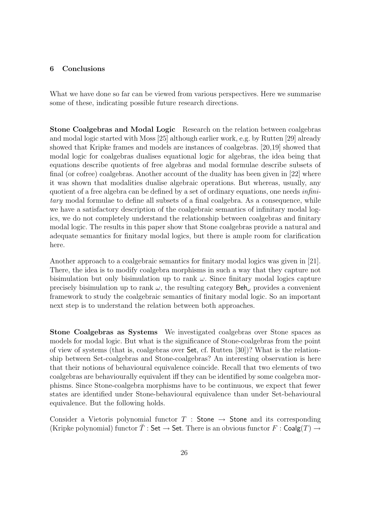#### 6 Conclusions

What we have done so far can be viewed from various perspectives. Here we summarise some of these, indicating possible future research directions.

Stone Coalgebras and Modal Logic Research on the relation between coalgebras and modal logic started with Moss [25] although earlier work, e.g. by Rutten [29] already showed that Kripke frames and models are instances of coalgebras. [20,19] showed that modal logic for coalgebras dualises equational logic for algebras, the idea being that equations describe quotients of free algebras and modal formulae describe subsets of final (or cofree) coalgebras. Another account of the duality has been given in [22] where it was shown that modalities dualise algebraic operations. But whereas, usually, any quotient of a free algebra can be defined by a set of ordinary equations, one needs infinitary modal formulae to define all subsets of a final coalgebra. As a consequence, while we have a satisfactory description of the coalgebraic semantics of infinitary modal logics, we do not completely understand the relationship between coalgebras and finitary modal logic. The results in this paper show that Stone coalgebras provide a natural and adequate semantics for finitary modal logics, but there is ample room for clarification here.

Another approach to a coalgebraic semantics for finitary modal logics was given in [21]. There, the idea is to modify coalgebra morphisms in such a way that they capture not bisimulation but only bisimulation up to rank  $\omega$ . Since finitary modal logics capture precisely bisimulation up to rank  $\omega$ , the resulting category  $\mathsf{Beh}_{\omega}$  provides a convenient framework to study the coalgebraic semantics of finitary modal logic. So an important next step is to understand the relation between both approaches.

Stone Coalgebras as Systems We investigated coalgebras over Stone spaces as models for modal logic. But what is the significance of Stone-coalgebras from the point of view of systems (that is, coalgebras over Set, cf. Rutten [30])? What is the relationship between Set-coalgebras and Stone-coalgebras? An interesting observation is here that their notions of behavioural equivalence coincide. Recall that two elements of two coalgebras are behaviourally equivalent iff they can be identified by some coalgebra morphisms. Since Stone-coalgebra morphisms have to be continuous, we expect that fewer states are identified under Stone-behavioural equivalence than under Set-behavioural equivalence. But the following holds.

Consider a Vietoris polynomial functor  $T :$  Stone  $\rightarrow$  Stone and its corresponding (Kripke polynomial) functor  $\tilde{T}$ : Set  $\to$  Set. There is an obvious functor  $F$ : Coalg $(T) \to$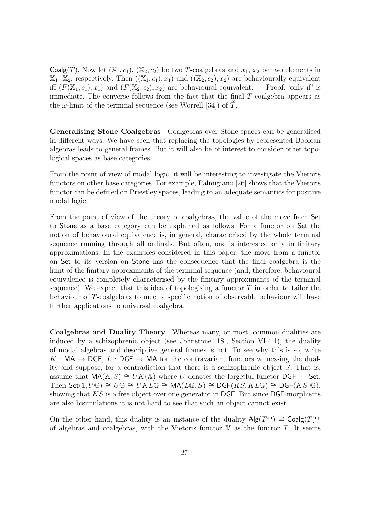Coalg(T). Now let  $(X_1, c_1)$ ,  $(X_2, c_2)$  be two T-coalgebras and  $x_1, x_2$  be two elements in  $\mathbb{X}_1, \mathbb{X}_2$ , respectively. Then  $((\mathbb{X}_1, c_1), x_1)$  and  $((\mathbb{X}_2, c_2), x_2)$  are behaviourally equivalent iff  $(F(\mathbb{X}_1, c_1), x_1)$  and  $(F(\mathbb{X}_2, c_2), x_2)$  are behavioural equivalent. — Proof: 'only if' is immediate. The converse follows from the fact that the final T-coalgebra appears as the  $\omega$ -limit of the terminal sequence (see Worrell [34]) of T.

Generalising Stone Coalgebras Coalgebras over Stone spaces can be generalised in different ways. We have seen that replacing the topologies by represented Boolean algebras leads to general frames. But it will also be of interest to consider other topological spaces as base categories.

From the point of view of modal logic, it will be interesting to investigate the Vietoris functors on other base categories. For example, Palmigiano [26] shows that the Vietoris functor can be defined on Priestley spaces, leading to an adequate semantics for positive modal logic.

From the point of view of the theory of coalgebras, the value of the move from Set to Stone as a base category can be explained as follows. For a functor on Set the notion of behavioural equivalence is, in general, characterised by the whole terminal sequence running through all ordinals. But often, one is interested only in finitary approximations. In the examples considered in this paper, the move from a functor on Set to its version on Stone has the consequence that the final coalgebra is the limit of the finitary approximants of the terminal sequence (and, therefore, behavioural equivalence is completely characterised by the finitary approximants of the terminal sequence). We expect that this idea of topologising a functor  $T$  in order to tailor the behaviour of T-coalgebras to meet a specific notion of observable behaviour will have further applications to universal coalgebra.

Coalgebras and Duality Theory Whereas many, or most, common dualities are induced by a schizophrenic object (see Johnstone [18], Section VI.4.1), the duality of modal algebras and descriptive general frames is not. To see why this is so, write K : MA  $\rightarrow$  DGF, L : DGF  $\rightarrow$  MA for the contravariant functors witnessing the duality and suppose, for a contradiction that there is a schizophrenic object  $S$ . That is, assume that  $\mathsf{MA}(\mathbb{A}, S) \cong UK(\mathbb{A})$  where U denotes the forgetful functor  $\mathsf{DGF} \to \mathsf{Set}$ . Then Set $(1, U\mathbb{G}) \cong U\mathbb{G} \cong UKL\mathbb{G} \cong \mathsf{MA}(L\mathbb{G}, S) \cong \mathsf{DGF}(KS, KL\mathbb{G}) \cong \mathsf{DGF}(KS, \mathbb{G}),$ showing that  $KS$  is a free object over one generator in DGF. But since DGF-morphisms are also bisimulations it is not hard to see that such an object cannot exist.

On the other hand, this duality is an instance of the duality  $\mathsf{Alg}(T^{\text{op}}) \cong \mathsf{Coalg}(T)^{\text{op}}$ of algebras and coalgebras, with the Vietoris functor  $\nabla$  as the functor T. It seems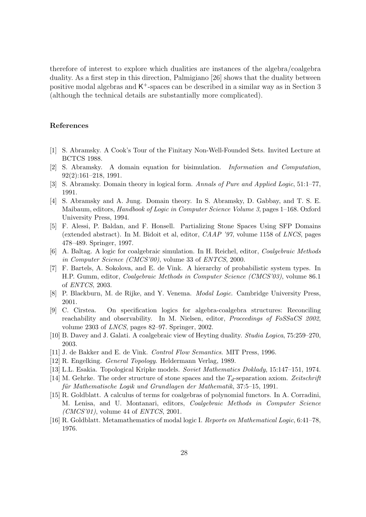therefore of interest to explore which dualities are instances of the algebra/coalgebra duality. As a first step in this direction, Palmigiano [26] shows that the duality between positive modal algebras and  $\mathsf{K}^+$ -spaces can be described in a similar way as in Section 3 (although the technical details are substantially more complicated).

### References

- [1] S. Abramsky. A Cook's Tour of the Finitary Non-Well-Founded Sets. Invited Lecture at BCTCS 1988.
- [2] S. Abramsky. A domain equation for bisimulation. Information and Computation, 92(2):161–218, 1991.
- [3] S. Abramsky. Domain theory in logical form. Annals of Pure and Applied Logic, 51:1–77, 1991.
- [4] S. Abramsky and A. Jung. Domain theory. In S. Abramsky, D. Gabbay, and T. S. E. Maibaum, editors, Handbook of Logic in Computer Science Volume 3, pages 1–168. Oxford University Press, 1994.
- [5] F. Alessi, P. Baldan, and F. Honsell. Partializing Stone Spaces Using SFP Domains (extended abstract). In M. Bidoit et al, editor,  $CAMP$  '97, volume 1158 of LNCS, pages 478–489. Springer, 1997.
- [6] A. Baltag. A logic for coalgebraic simulation. In H. Reichel, editor, Coalgebraic Methods in Computer Science (CMCS'00), volume 33 of ENTCS, 2000.
- [7] F. Bartels, A. Sokolova, and E. de Vink. A hierarchy of probabilistic system types. In H.P. Gumm, editor, Coalgebraic Methods in Computer Science (CMCS'03), volume 86.1 of ENTCS, 2003.
- [8] P. Blackburn, M. de Rijke, and Y. Venema. *Modal Logic*. Cambridge University Press, 2001.
- [9] C. Cˆırstea. On specification logics for algebra-coalgebra structures: Reconciling reachability and observability. In M. Nielsen, editor, Proceedings of FoSSaCS 2002, volume 2303 of LNCS, pages 82–97. Springer, 2002.
- [10] B. Davey and J. Galati. A coalgebraic view of Heyting duality. Studia Logica, 75:259–270, 2003.
- [11] J. de Bakker and E. de Vink. Control Flow Semantics. MIT Press, 1996.
- [12] R. Engelking. General Topology. Heldermann Verlag, 1989.
- [13] L.L. Esakia. Topological Kripke models. Soviet Mathematics Doklady, 15:147–151, 1974.
- [14] M. Gehrke. The order structure of stone spaces and the  $T_d$ -separation axiom. Zeitschrift für Mathematische Logik und Grundlagen der Mathematik, 37:5–15, 1991.
- [15] R. Goldblatt. A calculus of terms for coalgebras of polynomial functors. In A. Corradini, M. Lenisa, and U. Montanari, editors, Coalgebraic Methods in Computer Science  $(CMCS'01)$ , volume 44 of  $ENTCS$ , 2001.
- [16] R. Goldblatt. Metamathematics of modal logic I. Reports on Mathematical Logic, 6:41–78, 1976.